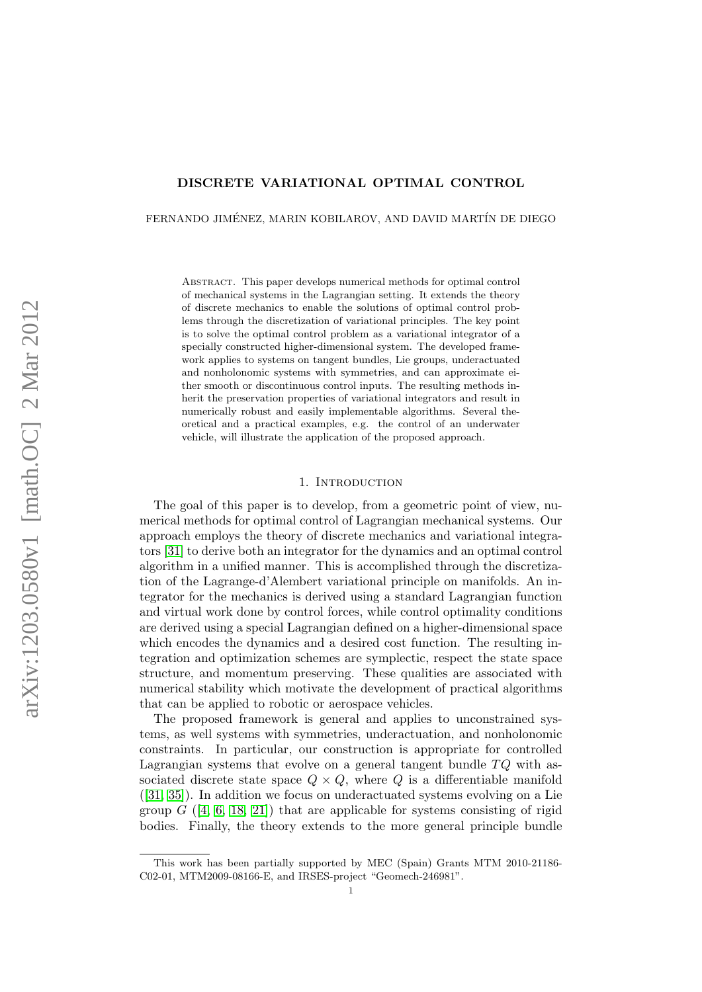# DISCRETE VARIATIONAL OPTIMAL CONTROL

FERNANDO JIMÉNEZ, MARIN KOBILAROV, AND DAVID MARTÍN DE DIEGO

Abstract. This paper develops numerical methods for optimal control of mechanical systems in the Lagrangian setting. It extends the theory of discrete mechanics to enable the solutions of optimal control problems through the discretization of variational principles. The key point is to solve the optimal control problem as a variational integrator of a specially constructed higher-dimensional system. The developed framework applies to systems on tangent bundles, Lie groups, underactuated and nonholonomic systems with symmetries, and can approximate either smooth or discontinuous control inputs. The resulting methods inherit the preservation properties of variational integrators and result in numerically robust and easily implementable algorithms. Several theoretical and a practical examples, e.g. the control of an underwater vehicle, will illustrate the application of the proposed approach.

# 1. INTRODUCTION

The goal of this paper is to develop, from a geometric point of view, numerical methods for optimal control of Lagrangian mechanical systems. Our approach employs the theory of discrete mechanics and variational integrators [\[31\]](#page-28-0) to derive both an integrator for the dynamics and an optimal control algorithm in a unified manner. This is accomplished through the discretization of the Lagrange-d'Alembert variational principle on manifolds. An integrator for the mechanics is derived using a standard Lagrangian function and virtual work done by control forces, while control optimality conditions are derived using a special Lagrangian defined on a higher-dimensional space which encodes the dynamics and a desired cost function. The resulting integration and optimization schemes are symplectic, respect the state space structure, and momentum preserving. These qualities are associated with numerical stability which motivate the development of practical algorithms that can be applied to robotic or aerospace vehicles.

The proposed framework is general and applies to unconstrained systems, as well systems with symmetries, underactuation, and nonholonomic constraints. In particular, our construction is appropriate for controlled Lagrangian systems that evolve on a general tangent bundle  $TQ$  with associated discrete state space  $Q \times Q$ , where Q is a differentiable manifold  $([31, 35])$  $([31, 35])$  $([31, 35])$  $([31, 35])$ . In addition we focus on underactuated systems evolving on a Lie group  $G$  ([\[4,](#page-27-0) [6,](#page-27-1) [18,](#page-28-2) [21\]](#page-28-3)) that are applicable for systems consisting of rigid bodies. Finally, the theory extends to the more general principle bundle

This work has been partially supported by MEC (Spain) Grants MTM 2010-21186- C02-01, MTM2009-08166-E, and IRSES-project "Geomech-246981".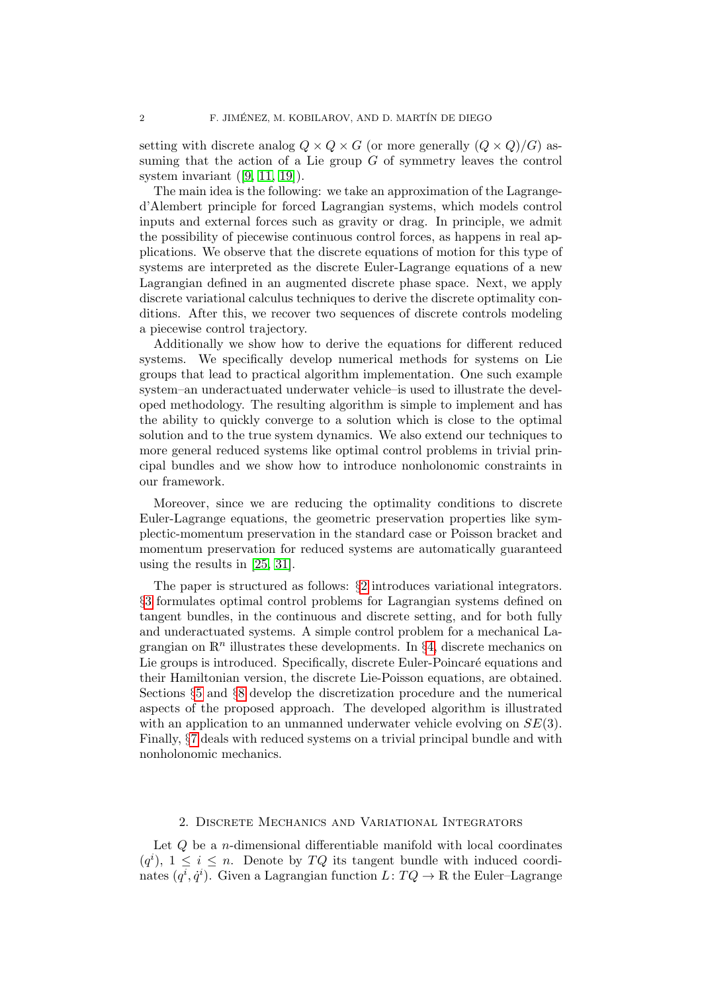setting with discrete analog  $Q \times Q \times G$  (or more generally  $(Q \times Q)/G$ ) assuming that the action of a Lie group  $G$  of symmetry leaves the control system invariant  $([9, 11, 19])$  $([9, 11, 19])$  $([9, 11, 19])$  $([9, 11, 19])$  $([9, 11, 19])$ .

The main idea is the following: we take an approximation of the Lagranged'Alembert principle for forced Lagrangian systems, which models control inputs and external forces such as gravity or drag. In principle, we admit the possibility of piecewise continuous control forces, as happens in real applications. We observe that the discrete equations of motion for this type of systems are interpreted as the discrete Euler-Lagrange equations of a new Lagrangian defined in an augmented discrete phase space. Next, we apply discrete variational calculus techniques to derive the discrete optimality conditions. After this, we recover two sequences of discrete controls modeling a piecewise control trajectory.

Additionally we show how to derive the equations for different reduced systems. We specifically develop numerical methods for systems on Lie groups that lead to practical algorithm implementation. One such example system–an underactuated underwater vehicle–is used to illustrate the developed methodology. The resulting algorithm is simple to implement and has the ability to quickly converge to a solution which is close to the optimal solution and to the true system dynamics. We also extend our techniques to more general reduced systems like optimal control problems in trivial principal bundles and we show how to introduce nonholonomic constraints in our framework.

Moreover, since we are reducing the optimality conditions to discrete Euler-Lagrange equations, the geometric preservation properties like symplectic-momentum preservation in the standard case or Poisson bracket and momentum preservation for reduced systems are automatically guaranteed using the results in [\[25,](#page-28-5) [31\]](#page-28-0).

The paper is structured as follows: §[2](#page-1-0) introduces variational integrators. §[3](#page-3-0) formulates optimal control problems for Lagrangian systems defined on tangent bundles, in the continuous and discrete setting, and for both fully and underactuated systems. A simple control problem for a mechanical Lagrangian on  $\mathbb{R}^n$  illustrates these developments. In §[4,](#page-8-0) discrete mechanics on Lie groups is introduced. Specifically, discrete Euler-Poincaré equations and their Hamiltonian version, the discrete Lie-Poisson equations, are obtained. Sections §[5](#page-13-0) and §[8](#page-26-0) develop the discretization procedure and the numerical aspects of the proposed approach. The developed algorithm is illustrated with an application to an unmanned underwater vehicle evolving on  $SE(3)$ . Finally, §[7](#page-21-0) deals with reduced systems on a trivial principal bundle and with nonholonomic mechanics.

### 2. Discrete Mechanics and Variational Integrators

<span id="page-1-0"></span>Let  $Q$  be a *n*-dimensional differentiable manifold with local coordinates  $(q<sup>i</sup>), 1 \leq i \leq n$ . Denote by TQ its tangent bundle with induced coordinates  $(q^i, \dot{q}^i)$ . Given a Lagrangian function  $L: TQ \to \mathbb{R}$  the Euler–Lagrange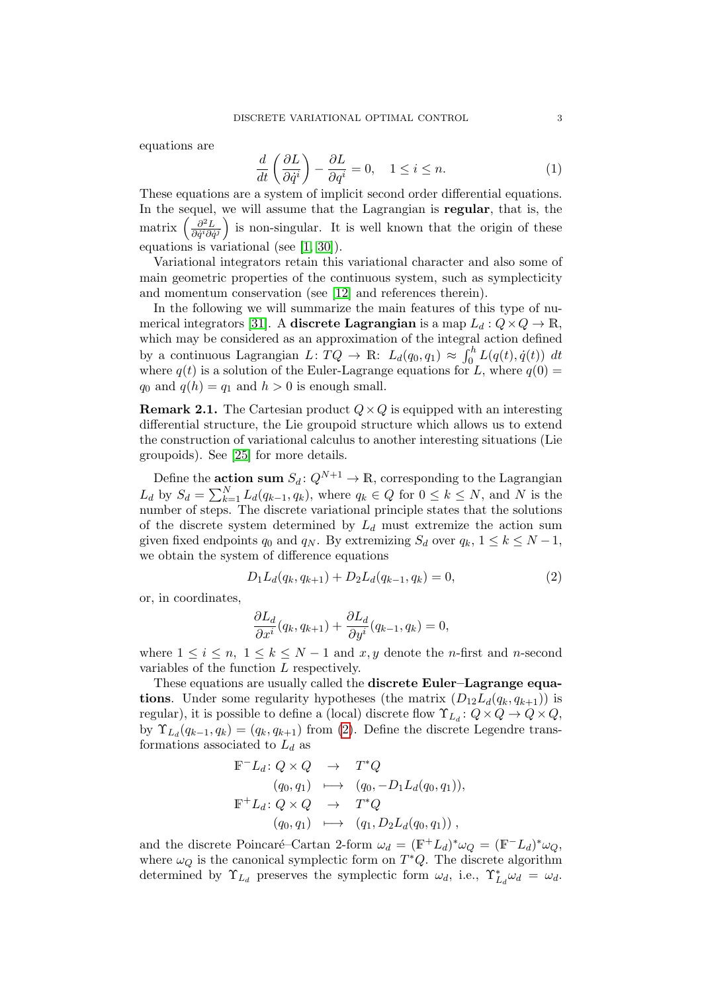equations are

$$
\frac{d}{dt}\left(\frac{\partial L}{\partial \dot{q}^i}\right) - \frac{\partial L}{\partial q^i} = 0, \quad 1 \le i \le n.
$$
\n(1)

These equations are a system of implicit second order differential equations. In the sequel, we will assume that the Lagrangian is regular, that is, the matrix  $\left(\frac{\partial^2 L}{\partial \dot{\alpha}^i \partial \dot{\alpha}}\right)$  $\frac{\partial^2 L}{\partial \dot{q}^i \partial \dot{q}^j}$  is non-singular. It is well known that the origin of these equations is variational (see [\[1,](#page-27-4) [30\]](#page-28-6)).

Variational integrators retain this variational character and also some of main geometric properties of the continuous system, such as symplecticity and momentum conservation (see [\[12\]](#page-27-5) and references therein).

In the following we will summarize the main features of this type of nu-merical integrators [\[31\]](#page-28-0). A **discrete Lagrangian** is a map  $L_d: Q \times Q \to \mathbb{R}$ , which may be considered as an approximation of the integral action defined by a continuous Lagrangian  $L: TQ \to \mathbb{R}: L_d(q_0, q_1) \approx \int_0^h L(q(t), \dot{q}(t)) dt$ where  $q(t)$  is a solution of the Euler-Lagrange equations for L, where  $q(0)$  =  $q_0$  and  $q(h) = q_1$  and  $h > 0$  is enough small.

**Remark 2.1.** The Cartesian product  $Q \times Q$  is equipped with an interesting differential structure, the Lie groupoid structure which allows us to extend the construction of variational calculus to another interesting situations (Lie groupoids). See [\[25\]](#page-28-5) for more details.

Define the **action sum**  $S_d: Q^{N+1} \to \mathbb{R}$ , corresponding to the Lagrangian  $L_d$  by  $S_d = \sum_{k=1}^N L_d(q_{k-1}, q_k)$ , where  $q_k \in Q$  for  $0 \le k \le N$ , and N is the number of steps. The discrete variational principle states that the solutions of the discrete system determined by  $L_d$  must extremize the action sum given fixed endpoints  $q_0$  and  $q_N$ . By extremizing  $S_d$  over  $q_k$ ,  $1 \leq k \leq N-1$ , we obtain the system of difference equations

<span id="page-2-0"></span>
$$
D_1L_d(q_k, q_{k+1}) + D_2L_d(q_{k-1}, q_k) = 0,
$$
\n(2)

or, in coordinates,

$$
\frac{\partial L_d}{\partial x^i}(q_k, q_{k+1}) + \frac{\partial L_d}{\partial y^i}(q_{k-1}, q_k) = 0,
$$

where  $1 \leq i \leq n, \ 1 \leq k \leq N-1$  and x, y denote the n-first and n-second variables of the function L respectively.

These equations are usually called the **discrete Euler–Lagrange equa**tions. Under some regularity hypotheses (the matrix  $(D_{12}L_d(q_k, q_{k+1}))$  is regular), it is possible to define a (local) discrete flow  $\Upsilon_{L_d}: Q \times Q \to Q \times Q$ , by  $\Upsilon_{L_d}(q_{k-1}, q_k) = (q_k, q_{k+1})$  from [\(2\)](#page-2-0). Define the discrete Legendre transformations associated to  $L_d$  as

$$
\begin{array}{rcl}\n\mathbb{F}^{-}L_{d}\colon Q\times Q & \to & T^{*}Q \\
(q_{0},q_{1}) & \longmapsto & (q_{0},-D_{1}L_{d}(q_{0},q_{1})), \\
\mathbb{F}^{+}L_{d}\colon Q\times Q & \to & T^{*}Q \\
(q_{0},q_{1}) & \longmapsto & (q_{1},D_{2}L_{d}(q_{0},q_{1}))\n\end{array}
$$

and the discrete Poincaré–Cartan 2-form  $\omega_d = (\mathbb{F}^+ L_d)^* \omega_Q = (\mathbb{F}^- L_d)^* \omega_Q$ , where  $\omega_Q$  is the canonical symplectic form on  $T^*Q$ . The discrete algorithm determined by  $\Upsilon_{L_d}$  preserves the symplectic form  $\omega_d$ , i.e.,  $\Upsilon_{L_d}^* \omega_d = \omega_d$ .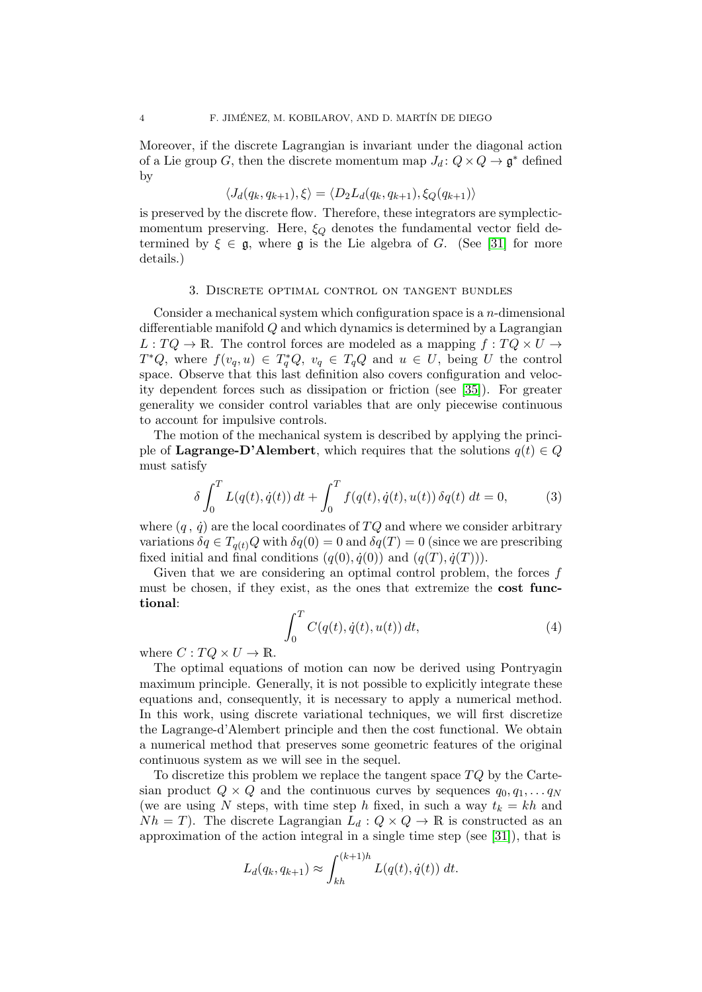Moreover, if the discrete Lagrangian is invariant under the diagonal action of a Lie group G, then the discrete momentum map  $J_d: Q \times Q \to \mathfrak{g}^*$  defined by

$$
\langle J_d(q_k, q_{k+1}), \xi \rangle = \langle D_2 L_d(q_k, q_{k+1}), \xi_Q(q_{k+1}) \rangle
$$

is preserved by the discrete flow. Therefore, these integrators are symplecticmomentum preserving. Here,  $\xi_Q$  denotes the fundamental vector field determined by  $\xi \in \mathfrak{g}$ , where  $\mathfrak{g}$  is the Lie algebra of G. (See [\[31\]](#page-28-0) for more details.)

#### 3. Discrete optimal control on tangent bundles

<span id="page-3-0"></span>Consider a mechanical system which configuration space is a  $n$ -dimensional differentiable manifold Q and which dynamics is determined by a Lagrangian  $L: TQ \to \mathbb{R}$ . The control forces are modeled as a mapping  $f: TQ \times U \to$  $T^*Q$ , where  $f(v_q, u) \in T_q^*Q$ ,  $v_q \in T_qQ$  and  $u \in U$ , being U the control space. Observe that this last definition also covers configuration and velocity dependent forces such as dissipation or friction (see [\[35\]](#page-28-1)). For greater generality we consider control variables that are only piecewise continuous to account for impulsive controls.

The motion of the mechanical system is described by applying the principle of Lagrange-D'Alembert, which requires that the solutions  $q(t) \in Q$ must satisfy

<span id="page-3-1"></span>
$$
\delta \int_0^T L(q(t), \dot{q}(t)) dt + \int_0^T f(q(t), \dot{q}(t), u(t)) \, \delta q(t) dt = 0,\tag{3}
$$

where  $(q, \dot{q})$  are the local coordinates of  $TQ$  and where we consider arbitrary variations  $\delta q \in T_{q(t)}Q$  with  $\delta q(0) = 0$  and  $\delta q(T) = 0$  (since we are prescribing fixed initial and final conditions  $(q(0), \dot{q}(0))$  and  $(q(T), \dot{q}(T))$ .

Given that we are considering an optimal control problem, the forces  $f$ must be chosen, if they exist, as the ones that extremize the cost functional:

<span id="page-3-2"></span>
$$
\int_0^T C(q(t), \dot{q}(t), u(t)) dt,
$$
\n(4)

where  $C: TQ \times U \to \mathbb{R}$ .

The optimal equations of motion can now be derived using Pontryagin maximum principle. Generally, it is not possible to explicitly integrate these equations and, consequently, it is necessary to apply a numerical method. In this work, using discrete variational techniques, we will first discretize the Lagrange-d'Alembert principle and then the cost functional. We obtain a numerical method that preserves some geometric features of the original continuous system as we will see in the sequel.

To discretize this problem we replace the tangent space  $TQ$  by the Cartesian product  $Q \times Q$  and the continuous curves by sequences  $q_0, q_1, \ldots q_N$ (we are using N steps, with time step h fixed, in such a way  $t_k = kh$  and  $Nh = T$ ). The discrete Lagrangian  $L_d: Q \times Q \to \mathbb{R}$  is constructed as an approximation of the action integral in a single time step (see [\[31\]](#page-28-0)), that is

$$
L_d(q_k, q_{k+1}) \approx \int_{kh}^{(k+1)h} L(q(t), \dot{q}(t)) dt.
$$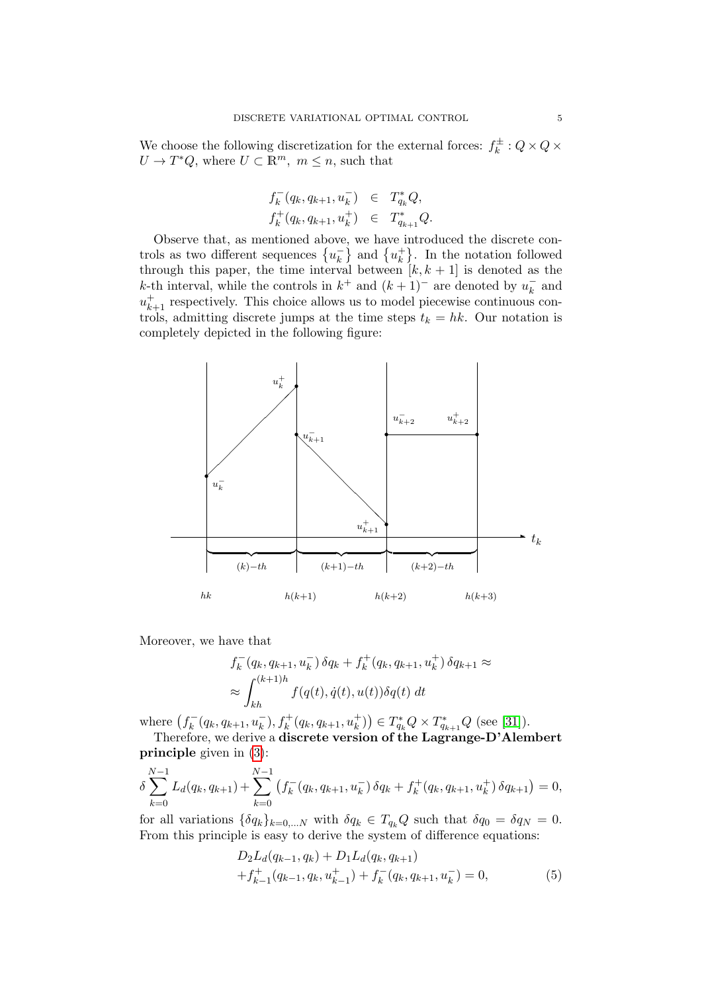We choose the following discretization for the external forces:  $f_k^{\pm}$  $k^{\pm}: Q \times Q \times$  $U \to T^*Q$ , where  $U \subset \mathbb{R}^m$ ,  $m \leq n$ , such that

$$
f_k^-(q_k, q_{k+1}, u_k^-) \in T_{q_k}^*Q,
$$
  

$$
f_k^+(q_k, q_{k+1}, u_k^+) \in T_{q_{k+1}}^*Q.
$$

Observe that, as mentioned above, we have introduced the discrete controls as two different sequences  $\{u_k^-\}$  $\left\{\frac{1}{k}\right\}$  and  $\left\{u_k^+\right\}$  $\begin{bmatrix} + \\ k \end{bmatrix}$ . In the notation followed through this paper, the time interval between  $[k, k + 1]$  is denoted as the k-th interval, while the controls in  $k^+$  and  $(k+1)^-$  are denoted by  $u_k^ \bar{k}$  and  $u_{k+1}^+$  respectively. This choice allows us to model piecewise continuous controls, admitting discrete jumps at the time steps  $t_k = hk$ . Our notation is completely depicted in the following figure:



Moreover, we have that

$$
f_k^-(q_k, q_{k+1}, u_k^-) \delta q_k + f_k^+(q_k, q_{k+1}, u_k^+) \delta q_{k+1} \approx
$$
  

$$
\approx \int_{kh}^{(k+1)h} f(q(t), \dot{q}(t), u(t)) \delta q(t) dt
$$

where  $(f_k^-)$  $K_k^-(q_k, q_{k+1}, u_k^-), f_k^+(q_k, q_{k+1}, u_k^+)) \in T_{q_k}^*Q \times T_{q_{k+1}}^*Q$  (see [\[31\]](#page-28-0)).

Therefore, we derive a discrete version of the Lagrange-D'Alembert principle given in [\(3\)](#page-3-1):

$$
\delta \sum_{k=0}^{N-1} L_d(q_k, q_{k+1}) + \sum_{k=0}^{N-1} \left( f_k^-(q_k, q_{k+1}, u_k^-) \, \delta q_k + f_k^+(q_k, q_{k+1}, u_k^+) \, \delta q_{k+1} \right) = 0,
$$

for all variations  $\{\delta q_k\}_{k=0,\dots,N}$  with  $\delta q_k \in T_{q_k}Q$  such that  $\delta q_0 = \delta q_N = 0$ . From this principle is easy to derive the system of difference equations:

<span id="page-4-0"></span>
$$
D_2L_d(q_{k-1}, q_k) + D_1L_d(q_k, q_{k+1})
$$
  
+  $f_{k-1}^+(q_{k-1}, q_k, u_{k-1}^+) + f_k^-(q_k, q_{k+1}, u_k^-) = 0,$  (5)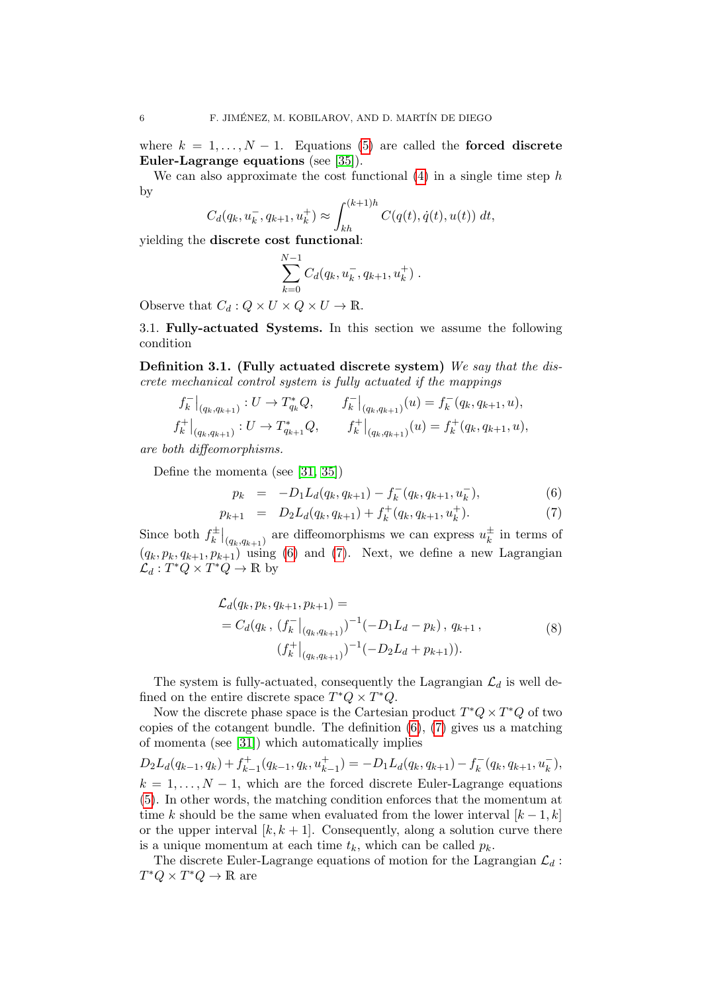where  $k = 1, ..., N - 1$ . Equations [\(5\)](#page-4-0) are called the **forced discrete** Euler-Lagrange equations (see [\[35\]](#page-28-1)).

We can also approximate the cost functional  $(4)$  in a single time step h by

$$
C_d(q_k, u_k^-, q_{k+1}, u_k^+) \approx \int_{kh}^{(k+1)h} C(q(t), \dot{q}(t), u(t)) dt,
$$

yielding the discrete cost functional:

$$
\sum_{k=0}^{N-1} C_d(q_k, u_k^-, q_{k+1}, u_k^+).
$$

Observe that  $C_d: Q \times U \times Q \times U \to \mathbb{R}$ .

<span id="page-5-2"></span>3.1. Fully-actuated Systems. In this section we assume the following condition

Definition 3.1. (Fully actuated discrete system) We say that the discrete mechanical control system is fully actuated if the mappings

$$
f_k^-|_{(q_k, q_{k+1})}: U \to T_{q_k}^*Q, \t f_k^-|_{(q_k, q_{k+1})}(u) = f_k^-(q_k, q_{k+1}, u),
$$
  

$$
f_k^+|_{(q_k, q_{k+1})}: U \to T_{q_{k+1}}^*Q, \t f_k^+|_{(q_k, q_{k+1})}(u) = f_k^+(q_k, q_{k+1}, u),
$$

are both diffeomorphisms.

Define the momenta (see [\[31,](#page-28-0) [35\]](#page-28-1))

<span id="page-5-0"></span>
$$
p_k = -D_1 L_d(q_k, q_{k+1}) - f_k^-(q_k, q_{k+1}, u_k^-), \tag{6}
$$

$$
p_{k+1} = D_2 L_d(q_k, q_{k+1}) + f_k^+(q_k, q_{k+1}, u_k^+).
$$
 (7)

Since both  $f_k^{\pm}$  $\left. \frac{d}{k} \right|_{(q_k,q_{k+1})}$  are diffeomorphisms we can express  $u_k^{\pm}$  $\frac{1}{k}$  in terms of  $(q_k, p_k, q_{k+1}, p_{k+1})$  using [\(6\)](#page-5-0) and [\(7\)](#page-5-0). Next, we define a new Lagrangian  $\mathcal{L}_d: T^*Q \times T^*Q \to \mathbb{R}$  by

<span id="page-5-1"></span>
$$
\mathcal{L}_d(q_k, p_k, q_{k+1}, p_{k+1}) =
$$
\n
$$
= C_d(q_k, (f_k^-|_{(q_k, q_{k+1})})^{-1}(-D_1L_d - p_k), q_{k+1},
$$
\n
$$
(f_k^+|_{(q_k, q_{k+1})})^{-1}(-D_2L_d + p_{k+1})).
$$
\n(8)

The system is fully-actuated, consequently the Lagrangian  $\mathcal{L}_d$  is well defined on the entire discrete space  $T^*Q \times T^*Q$ .

Now the discrete phase space is the Cartesian product  $T^*Q \times T^*Q$  of two copies of the cotangent bundle. The definition [\(6\)](#page-5-0), [\(7\)](#page-5-0) gives us a matching of momenta (see [\[31\]](#page-28-0)) which automatically implies

 $D_2L_d(q_{k-1}, q_k) + f_{k-1}^+$  $x_{k-1}^+(q_{k-1}, q_k, u_{k-1}^+) = -D_1 L_d(q_k, q_{k+1}) - f_k^$  $k = (q_k, q_{k+1}, u_k^{-}),$  $k = 1, \ldots, N-1$ , which are the forced discrete Euler-Lagrange equations [\(5\)](#page-4-0). In other words, the matching condition enforces that the momentum at time k should be the same when evaluated from the lower interval  $[k-1,k]$ or the upper interval  $[k, k+1]$ . Consequently, along a solution curve there is a unique momentum at each time  $t_k$ , which can be called  $p_k$ .

The discrete Euler-Lagrange equations of motion for the Lagrangian  $\mathcal{L}_d$ :  $T^*Q \times T^*Q \to \mathbb{R}$  are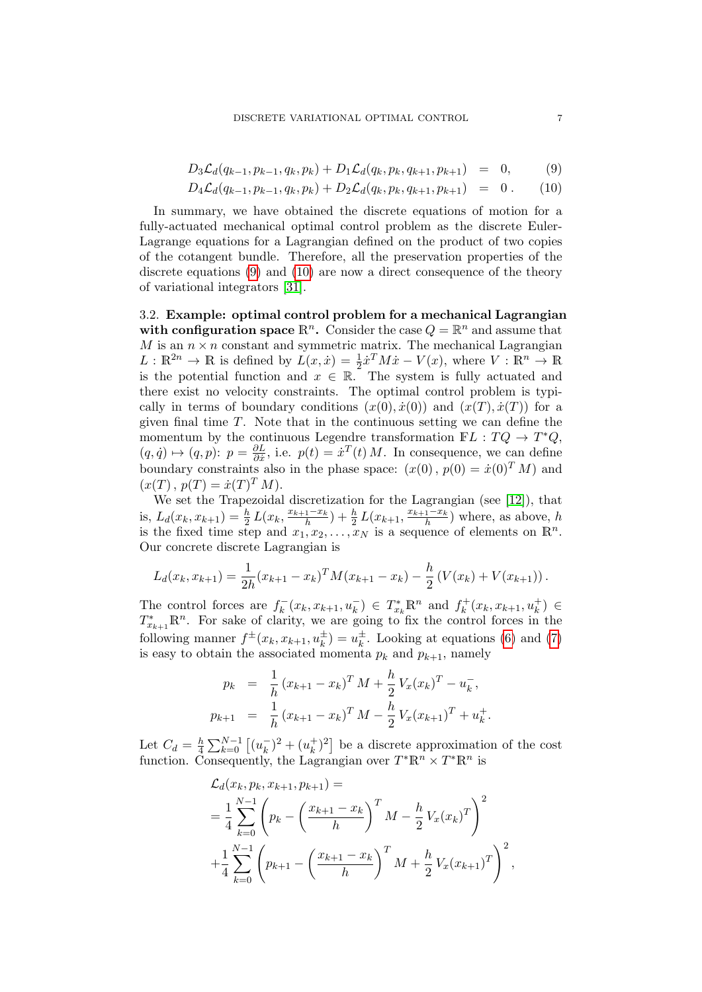<span id="page-6-0"></span>
$$
D_3\mathcal{L}_d(q_{k-1}, p_{k-1}, q_k, p_k) + D_1\mathcal{L}_d(q_k, p_k, q_{k+1}, p_{k+1}) = 0, \quad (9)
$$

$$
D_4\mathcal{L}_d(q_{k-1}, p_{k-1}, q_k, p_k) + D_2\mathcal{L}_d(q_k, p_k, q_{k+1}, p_{k+1}) = 0.
$$
 (10)

In summary, we have obtained the discrete equations of motion for a fully-actuated mechanical optimal control problem as the discrete Euler-Lagrange equations for a Lagrangian defined on the product of two copies of the cotangent bundle. Therefore, all the preservation properties of the discrete equations [\(9\)](#page-6-0) and [\(10\)](#page-6-0) are now a direct consequence of the theory of variational integrators [\[31\]](#page-28-0).

3.2. Example: optimal control problem for a mechanical Lagrangian with configuration space  $\mathbb{R}^n$ . Consider the case  $Q = \mathbb{R}^n$  and assume that M is an  $n \times n$  constant and symmetric matrix. The mechanical Lagrangian  $L : \mathbb{R}^{2n} \to \mathbb{R}$  is defined by  $L(x, \dot{x}) = \frac{1}{2} \dot{x}^T M \dot{x} - V(x)$ , where  $V : \mathbb{R}^n \to \mathbb{R}$ is the potential function and  $x \in \mathbb{R}$ . The system is fully actuated and there exist no velocity constraints. The optimal control problem is typically in terms of boundary conditions  $(x(0), \dot{x}(0))$  and  $(x(T), \dot{x}(T))$  for a given final time  $T$ . Note that in the continuous setting we can define the momentum by the continuous Legendre transformation  $\mathbb{F}L : TQ \to T^*Q$ ,  $(q, \dot{q}) \mapsto (q, p) : p = \frac{\partial L}{\partial \dot{x}}$  $\frac{\partial L}{\partial \dot{x}}$ , i.e.  $p(t) = \dot{x}^{T}(t) M$ . In consequence, we can define boundary constraints also in the phase space:  $(x(0), p(0) = \dot{x}(0)^T M)$  and  $(x(T), p(T) = \dot{x}(T)^T M).$ 

We set the Trapezoidal discretization for the Lagrangian (see [\[12\]](#page-27-5)), that is,  $L_d(x_k, x_{k+1}) = \frac{h}{2} L(x_k, \frac{x_{k+1} - x_k}{h})$  $\frac{1-x_k}{h}$ ) +  $\frac{h}{2} L(x_{k+1}, \frac{x_{k+1}-x_k}{h})$  $\frac{1-x_k}{h}$ ) where, as above, h is the fixed time step and  $x_1, x_2, \ldots, x_N$  is a sequence of elements on  $\mathbb{R}^n$ . Our concrete discrete Lagrangian is

$$
L_d(x_k, x_{k+1}) = \frac{1}{2h}(x_{k+1} - x_k)^T M (x_{k+1} - x_k) - \frac{h}{2} (V(x_k) + V(x_{k+1})).
$$

The control forces are  $f_k^ \bar{f}_k^-(x_k, x_{k+1}, u_k^-) \in T_{x_k}^* \mathbb{R}^n$  and  $f_k^+$  $x_k^+(x_k, x_{k+1}, u_k^+) \in$  $T_{x_{k+1}}^* \mathbb{R}^n$ . For sake of clarity, we are going to fix the control forces in the following manner  $f^{\pm}(x_k, x_{k+1}, u_k^{\pm}) = u_k^{\pm}$  $\frac{1}{k}$ . Looking at equations [\(6\)](#page-5-0) and [\(7\)](#page-5-0) is easy to obtain the associated momenta  $p_k$  and  $p_{k+1}$ , namely

$$
p_k = \frac{1}{h} (x_{k+1} - x_k)^T M + \frac{h}{2} V_x (x_k)^T - u_k^-,
$$
  

$$
p_{k+1} = \frac{1}{h} (x_{k+1} - x_k)^T M - \frac{h}{2} V_x (x_{k+1})^T + u_k^+.
$$

Let  $C_d = \frac{h}{4}$  $\frac{h}{4}\sum_{k=0}^{N-1}\left[(u_k^ (\overline{k})^2 + (u_k^+)$  $\binom{+}{k}^2$  be a discrete approximation of the cost function. Consequently, the Lagrangian over  $T^*\mathbb{R}^n \times T^*\mathbb{R}^n$  is

$$
\mathcal{L}_{d}(x_{k}, p_{k}, x_{k+1}, p_{k+1}) =
$$
\n
$$
= \frac{1}{4} \sum_{k=0}^{N-1} \left( p_{k} - \left( \frac{x_{k+1} - x_{k}}{h} \right)^{T} M - \frac{h}{2} V_{x}(x_{k})^{T} \right)^{2}
$$
\n
$$
+ \frac{1}{4} \sum_{k=0}^{N-1} \left( p_{k+1} - \left( \frac{x_{k+1} - x_{k}}{h} \right)^{T} M + \frac{h}{2} V_{x}(x_{k+1})^{T} \right)^{2},
$$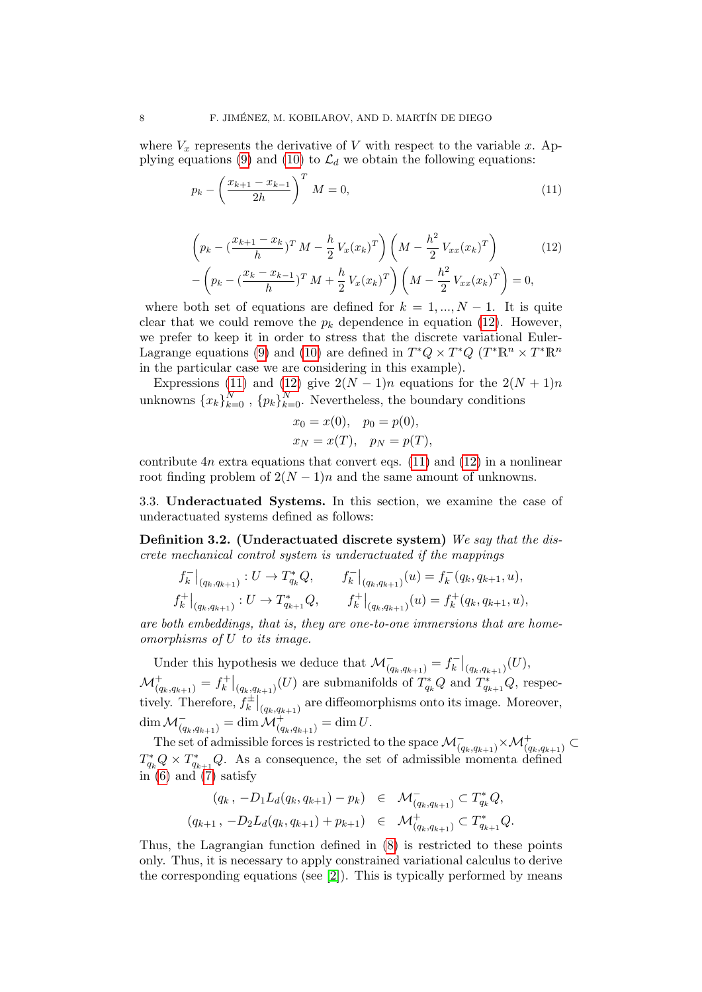where  $V_x$  represents the derivative of V with respect to the variable x. Ap-plying equations [\(9\)](#page-6-0) and [\(10\)](#page-6-0) to  $\mathcal{L}_d$  we obtain the following equations:

<span id="page-7-0"></span>
$$
p_k - \left(\frac{x_{k+1} - x_{k-1}}{2h}\right)^T M = 0,\tag{11}
$$

$$
\left(p_k - \left(\frac{x_{k+1} - x_k}{h}\right)^T M - \frac{h}{2} V_x(x_k)^T\right) \left(M - \frac{h^2}{2} V_{xx}(x_k)^T\right) \qquad (12)
$$

$$
-\left(p_k - \left(\frac{x_k - x_{k-1}}{h}\right)^T M + \frac{h}{2} V_x(x_k)^T\right) \left(M - \frac{h^2}{2} V_{xx}(x_k)^T\right) = 0,
$$

where both set of equations are defined for  $k = 1, ..., N - 1$ . It is quite clear that we could remove the  $p_k$  dependence in equation [\(12\)](#page-7-0). However, we prefer to keep it in order to stress that the discrete variational Euler-Lagrange equations [\(9\)](#page-6-0) and [\(10\)](#page-6-0) are defined in  $T^*Q \times T^*Q$   $(T^*\mathbb{R}^n \times T^*\mathbb{R}^n)$ in the particular case we are considering in this example).

Expressions [\(11\)](#page-7-0) and [\(12\)](#page-7-0) give  $2(N-1)n$  equations for the  $2(N+1)n$ unknowns  ${x_k}_{k=0}^N$ ,  ${p_k}_{k=0}^N$ . Nevertheless, the boundary conditions

$$
x_0 = x(0), p_0 = p(0),
$$
  
\n $x_N = x(T), p_N = p(T),$ 

contribute  $4n$  extra equations that convert eqs. [\(11\)](#page-7-0) and [\(12\)](#page-7-0) in a nonlinear root finding problem of  $2(N-1)n$  and the same amount of unknowns.

<span id="page-7-2"></span>3.3. Underactuated Systems. In this section, we examine the case of underactuated systems defined as follows:

<span id="page-7-1"></span>Definition 3.2. (Underactuated discrete system) We say that the discrete mechanical control system is underactuated if the mappings

$$
f_k^-|_{(q_k, q_{k+1})}: U \to T_{q_k}^*Q, \t f_k^-|_{(q_k, q_{k+1})}(u) = f_k^-(q_k, q_{k+1}, u),
$$
  

$$
f_k^+|_{(q_k, q_{k+1})}: U \to T_{q_{k+1}}^*Q, \t f_k^+|_{(q_k, q_{k+1})}(u) = f_k^+(q_k, q_{k+1}, u),
$$

are both embeddings, that is, they are one-to-one immersions that are homeomorphisms of U to its image.

Under this hypothesis we deduce that  $\mathcal{M}^-_{(q_k,q_{k+1})} = f^-_k$  $\left. \frac{d^{n-1}}{d^{n-1}} \right|_{(q_k, q_{k+1})} (U),$  ${\cal M}^+_{(q_k, q_{k+1})} = f^+_k$  $\binom{r+1}{k}_{(q_k,q_{k+1})}(U)$  are submanifolds of  $T^*_{q_k}Q$  and  $T^*_{q_{k+1}}Q$ , respectively. Therefore,  $f_k^{\pm}$  $\left. \frac{d}{k} \right|_{(q_k,q_{k+1})}$  are diffeomorphisms onto its image. Moreover,  $\dim {\mathcal M}_{(q_k,q_{k+1})}^- = \dim {\mathcal M}_{(q_k,q_{k+1})}^+ = \dim U.$ 

The set of admissible forces is restricted to the space  $\mathcal{M}^-_{(q_k,q_{k+1})} \times \mathcal{M}^+_{(q_k,q_{k+1})} \subset$  $T_{q_k}^*Q \times T_{q_{k+1}}^*Q$ . As a consequence, the set of admissible momenta defined in  $(6)$  and  $(7)$  satisfy

$$
(q_k, -D_1 L_d(q_k, q_{k+1}) - p_k) \in \mathcal{M}_{(q_k, q_{k+1})}^- \subset T_{q_k}^* Q,
$$
  

$$
(q_{k+1}, -D_2 L_d(q_k, q_{k+1}) + p_{k+1}) \in \mathcal{M}_{(q_k, q_{k+1})}^+ \subset T_{q_{k+1}}^* Q.
$$

Thus, the Lagrangian function defined in [\(8\)](#page-5-1) is restricted to these points only. Thus, it is necessary to apply constrained variational calculus to derive the corresponding equations (see  $[2]$ ). This is typically performed by means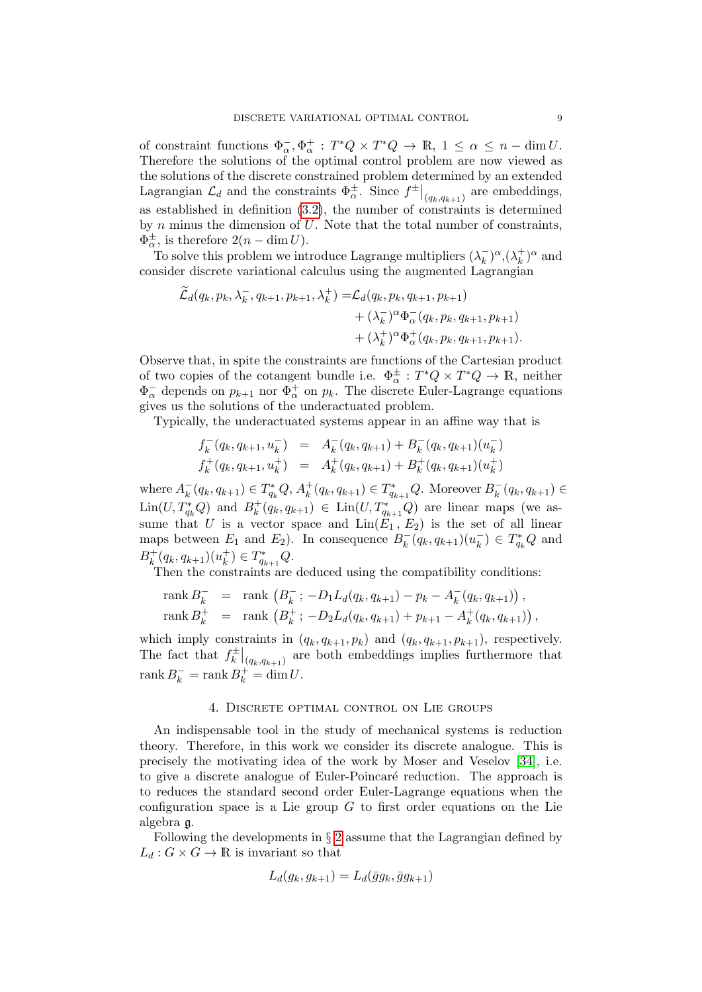of constraint functions  $\Phi_{\alpha}^{-}, \Phi_{\alpha}^{+} : T^{*}Q \times T^{*}Q \to \mathbb{R}, 1 \leq \alpha \leq n - \dim U$ . Therefore the solutions of the optimal control problem are now viewed as the solutions of the discrete constrained problem determined by an extended Lagrangian  $\mathcal{L}_d$  and the constraints  $\Phi_{\alpha}^{\pm}$ . Since  $f^{\pm}|_{(q_k,q_{k+1})}$  are embeddings, as established in definition  $(3.2)$ , the number of constraints is determined by  $n$  minus the dimension of  $U$ . Note that the total number of constraints,  $\Phi_{\alpha}^{\pm}$ , is therefore  $2(n - \dim U)$ .

To solve this problem we introduce Lagrange multipliers  $(\lambda_k)$  $(\lambda_k^+)^\alpha, (\lambda_k^+)$  $\binom{+}{k}^{\alpha}$  and consider discrete variational calculus using the augmented Lagrangian

$$
\widetilde{\mathcal{L}}_{d}(q_{k}, p_{k}, \lambda_{k}^{-}, q_{k+1}, p_{k+1}, \lambda_{k}^{+}) = \mathcal{L}_{d}(q_{k}, p_{k}, q_{k+1}, p_{k+1}) \n+ (\lambda_{k}^{-})^{\alpha} \Phi_{\alpha}^{-}(q_{k}, p_{k}, q_{k+1}, p_{k+1}) \n+ (\lambda_{k}^{+})^{\alpha} \Phi_{\alpha}^{+}(q_{k}, p_{k}, q_{k+1}, p_{k+1}).
$$

Observe that, in spite the constraints are functions of the Cartesian product of two copies of the cotangent bundle i.e.  $\Phi_{\alpha}^{\pm}: T^*Q \times T^*Q \to \mathbb{R}$ , neither  $\Phi_{\alpha}^-$  depends on  $p_{k+1}$  nor  $\Phi_{\alpha}^+$  on  $p_k$ . The discrete Euler-Lagrange equations gives us the solutions of the underactuated problem.

Typically, the underactuated systems appear in an affine way that is

$$
f_k^-(q_k, q_{k+1}, u_k^-) = A_k^-(q_k, q_{k+1}) + B_k^-(q_k, q_{k+1})(u_k^-)
$$
  

$$
f_k^+(q_k, q_{k+1}, u_k^+) = A_k^+(q_k, q_{k+1}) + B_k^+(q_k, q_{k+1})(u_k^+)
$$

where  $A_k^ _{k}^{-}(q_{k}, q_{k+1}) \in T_{q_{k}}^{*}Q, A_{k}^{+}$  $k^+(q_k, q_{k+1}) \in T^*_{q_{k+1}}Q$ . Moreover  $B_k^ \bar{k}(q_k, q_{k+1}) \in$  $\text{Lin}(U, T^*_{q_k}Q)$  and  $B_k^+$  $k(k+1) \in \text{Lin}(U, T^*_{q_{k+1}}Q)$  are linear maps (we assume that U is a vector space and  $\text{Lin}(E_1, E_2)$  is the set of all linear maps between  $E_1$  and  $E_2$ ). In consequence  $B_k^$  $h_k^-(q_k, q_{k+1})(u_k^-)$  $\overline{R}_{k}^{-}$ )  $\in T_{q_{k}}^{*}Q$  and  $B_k^+$  $k^+(q_k, q_{k+1})(u_k^+)$  $_{k}^{+}$ )  $\in T_{q_{k+1}}^{*}Q.$ 

Then the constraints are deduced using the compatibility conditions:

rank 
$$
B_k^-
$$
 = rank  $(B_k^-; -D_1L_d(q_k, q_{k+1}) - p_k - A_k^-(q_k, q_{k+1}))$ ,  
rank  $B_k^+$  = rank  $(B_k^+; -D_2L_d(q_k, q_{k+1}) + p_{k+1} - A_k^+(q_k, q_{k+1}))$ ,

which imply constraints in  $(q_k, q_{k+1}, p_k)$  and  $(q_k, q_{k+1}, p_{k+1})$ , respectively. The fact that  $f_k^{\pm}$  $\left. \frac{d}{k} \right|_{(q_k,q_{k+1})}$  are both embeddings implies furthermore that rank  $B_k^-$  = rank  $B_k^+$  = dim U.

## 4. Discrete optimal control on Lie groups

<span id="page-8-0"></span>An indispensable tool in the study of mechanical systems is reduction theory. Therefore, in this work we consider its discrete analogue. This is precisely the motivating idea of the work by Moser and Veselov [\[34\]](#page-28-7), i.e. to give a discrete analogue of Euler-Poincaré reduction. The approach is to reduces the standard second order Euler-Lagrange equations when the configuration space is a Lie group  $G$  to first order equations on the Lie algebra g.

Following the developments in § [2](#page-1-0) assume that the Lagrangian defined by  $L_d: G \times G \to \mathbb{R}$  is invariant so that

$$
L_d(g_k, g_{k+1}) = L_d(\bar{g}g_k, \bar{g}g_{k+1})
$$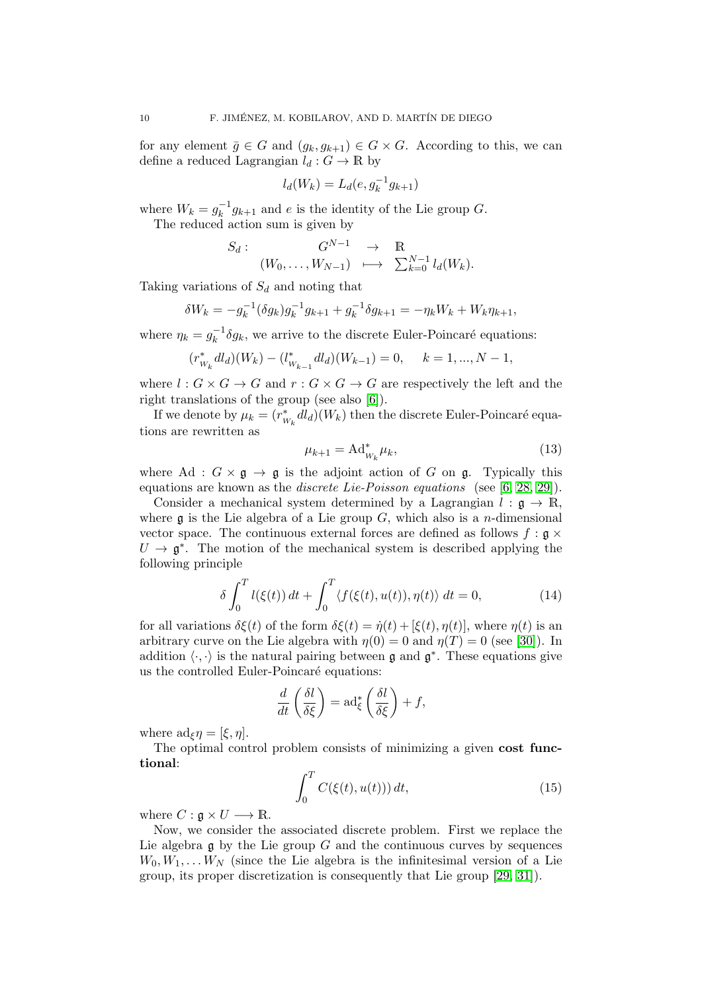for any element  $\bar{g} \in G$  and  $(g_k, g_{k+1}) \in G \times G$ . According to this, we can define a reduced Lagrangian  $l_d : G \to \mathbb{R}$  by

$$
l_d(W_k) = L_d(e, g_k^{-1}g_{k+1})
$$

where  $W_k = g_k^{-1}$  $k_{k}^{-1}g_{k+1}$  and e is the identity of the Lie group G. The reduced action sum is given by

$$
S_d: \begin{array}{ccc} G^{N-1} & \to & \mathbb{R} \\ (W_0, \ldots, W_{N-1}) & \longmapsto & \sum_{k=0}^{N-1} l_d(W_k). \end{array}
$$

Taking variations of  $S_d$  and noting that

$$
\delta W_k = -g_k^{-1} (\delta g_k) g_k^{-1} g_{k+1} + g_k^{-1} \delta g_{k+1} = -\eta_k W_k + W_k \eta_{k+1},
$$

where  $\eta_k = g_k^{-1}$  $k_{k}^{-1}$   $\delta g_{k}$ , we arrive to the discrete Euler-Poincaré equations:

$$
(r_{W_k}^* dl_d)(W_k) - (l_{W_{k-1}}^* dl_d)(W_{k-1}) = 0, \quad k = 1, ..., N-1,
$$

where  $l: G \times G \to G$  and  $r: G \times G \to G$  are respectively the left and the right translations of the group (see also [\[6\]](#page-27-1)).

If we denote by  $\mu_k = (r_w^*)$  $\int_{W_k}^* dl_d$  ( $W_k$ ) then the discrete Euler-Poincaré equations are rewritten as

<span id="page-9-1"></span>
$$
\mu_{k+1} = \operatorname{Ad}^*_{W_k} \mu_k,\tag{13}
$$

where Ad :  $G \times \mathfrak{g} \to \mathfrak{g}$  is the adjoint action of G on  $\mathfrak{g}$ . Typically this equations are known as the *discrete Lie-Poisson equations* (see [\[6,](#page-27-1) [28,](#page-28-8) [29\]](#page-28-9)).

Consider a mechanical system determined by a Lagrangian  $l : \mathfrak{g} \to \mathbb{R}$ . where  $\mathfrak g$  is the Lie algebra of a Lie group G, which also is a *n*-dimensional vector space. The continuous external forces are defined as follows  $f : \mathfrak{g} \times$  $U \to \mathfrak{g}^*$ . The motion of the mechanical system is described applying the following principle

$$
\delta \int_0^T l(\xi(t)) dt + \int_0^T \langle f(\xi(t), u(t)), \eta(t) \rangle dt = 0, \tag{14}
$$

for all variations  $\delta \xi(t)$  of the form  $\delta \xi(t) = \dot{\eta}(t) + [\xi(t), \eta(t)]$ , where  $\eta(t)$  is an arbitrary curve on the Lie algebra with  $\eta(0) = 0$  and  $\eta(T) = 0$  (see [\[30\]](#page-28-6)). In addition  $\langle \cdot, \cdot \rangle$  is the natural pairing between g and  $\mathfrak{g}^*$ . These equations give us the controlled Euler-Poincaré equations:

$$
\frac{d}{dt}\left(\frac{\delta l}{\delta \xi}\right) = \mathrm{ad}_{\xi}^*\left(\frac{\delta l}{\delta \xi}\right) + f,
$$

where  $ad_{\xi}\eta = [\xi, \eta]$ .

The optimal control problem consists of minimizing a given cost functional:

<span id="page-9-0"></span>
$$
\int_0^T C(\xi(t), u(t))) dt,
$$
\n(15)

where  $C : \mathfrak{g} \times U \longrightarrow \mathbb{R}$ .

Now, we consider the associated discrete problem. First we replace the Lie algebra  $\mathfrak g$  by the Lie group G and the continuous curves by sequences  $W_0, W_1, \ldots W_N$  (since the Lie algebra is the infinitesimal version of a Lie group, its proper discretization is consequently that Lie group [\[29,](#page-28-9) [31\]](#page-28-0)).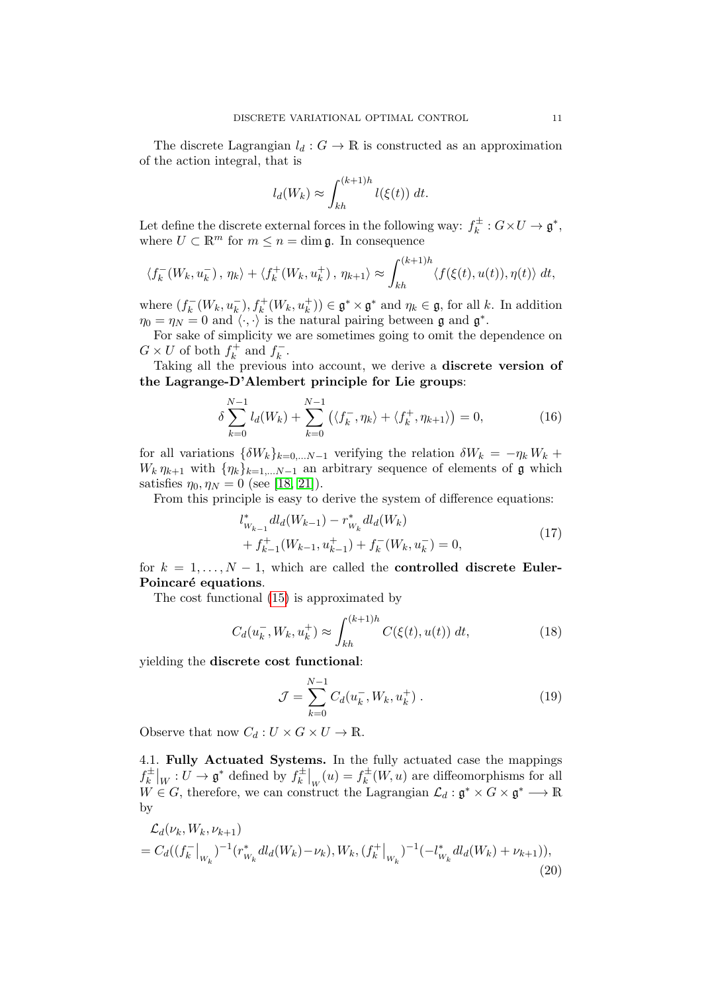The discrete Lagrangian  $l_d : G \to \mathbb{R}$  is constructed as an approximation of the action integral, that is

$$
l_d(W_k) \approx \int_{kh}^{(k+1)h} l(\xi(t)) dt.
$$

Let define the discrete external forces in the following way:  $f_k^{\pm}$  $k^{\pm}: G \times U \to \mathfrak{g}^*,$ where  $U \subset \mathbb{R}^m$  for  $m \leq n = \dim \mathfrak{g}$ . In consequence

$$
\langle f_k^-(W_k, u_k^-), \eta_k \rangle + \langle f_k^+(W_k, u_k^+), \eta_{k+1} \rangle \approx \int_{kh}^{(k+1)h} \langle f(\xi(t), u(t)), \eta(t) \rangle dt,
$$

where  $(f_k^-)$  $k_k^-(W_k, u_k^-), f_k^+(W_k, u_k^+)) \in \mathfrak{g}^* \times \mathfrak{g}^*$  and  $\eta_k \in \mathfrak{g}$ , for all k. In addition  $\eta_0 = \eta_N = 0$  and  $\langle \cdot, \cdot \rangle$  is the natural pairing between g and g<sup>\*</sup>.

For sake of simplicity we are sometimes going to omit the dependence on  $G \times U$  of both  $f_k^+$  $f_k^+$  and  $f_k^ \frac{k}{k}$ .

Taking all the previous into account, we derive a discrete version of the Lagrange-D'Alembert principle for Lie groups:

<span id="page-10-0"></span>
$$
\delta \sum_{k=0}^{N-1} l_d(W_k) + \sum_{k=0}^{N-1} (\langle f_k^-, \eta_k \rangle + \langle f_k^+, \eta_{k+1} \rangle) = 0, \tag{16}
$$

for all variations  $\{\delta W_k\}_{k=0,...N-1}$  verifying the relation  $\delta W_k = -\eta_k W_k +$  $W_k \eta_{k+1}$  with  $\{\eta_k\}_{k=1,...N-1}$  an arbitrary sequence of elements of g which satisfies  $\eta_0, \eta_N = 0$  (see [\[18,](#page-28-2) [21\]](#page-28-3)).

From this principle is easy to derive the system of difference equations:

$$
l_{W_{k-1}}^* dl_d(W_{k-1}) - r_{W_k}^* dl_d(W_k)
$$
  
+  $f_{k-1}^+(W_{k-1}, u_{k-1}^+) + f_k^-(W_k, u_k^-) = 0,$  (17)

for  $k = 1, ..., N - 1$ , which are called the **controlled discrete Euler-**Poincaré equations.

The cost functional [\(15\)](#page-9-0) is approximated by

<span id="page-10-1"></span>
$$
C_d(u_k^-, W_k, u_k^+) \approx \int_{kh}^{(k+1)h} C(\xi(t), u(t)) dt,
$$
 (18)

yielding the discrete cost functional:

$$
\mathcal{J} = \sum_{k=0}^{N-1} C_d(u_k^-, W_k, u_k^+)
$$
 (19)

Observe that now  $C_d: U \times G \times U \to \mathbb{R}$ .

<span id="page-10-2"></span>4.1. Fully Actuated Systems. In the fully actuated case the mappings  $f_k^{\pm}$  $\mathfrak{g}_k^{\pm}\big|_W:U\to\mathfrak{g}^*$  defined by  $f_k^{\pm}$  $\int_{k}^{\pm}$   $\Big|_{W}(u) = f_{k}^{\pm}$  $k^{\pm}(W, u)$  are diffeomorphisms for all  $W \in G$ , therefore, we can construct the Lagrangian  $\mathcal{L}_d : \mathfrak{g}^* \times G \times \mathfrak{g}^* \longrightarrow \mathbb{R}$ by

$$
\mathcal{L}_d(\nu_k, W_k, \nu_{k+1}) = C_d((f_k^-|_{W_k})^{-1}(r_{W_k}^* dl_d(W_k) - \nu_k), W_k, (f_k^+|_{W_k})^{-1}(-l_{W_k}^* dl_d(W_k) + \nu_{k+1})),
$$
\n(20)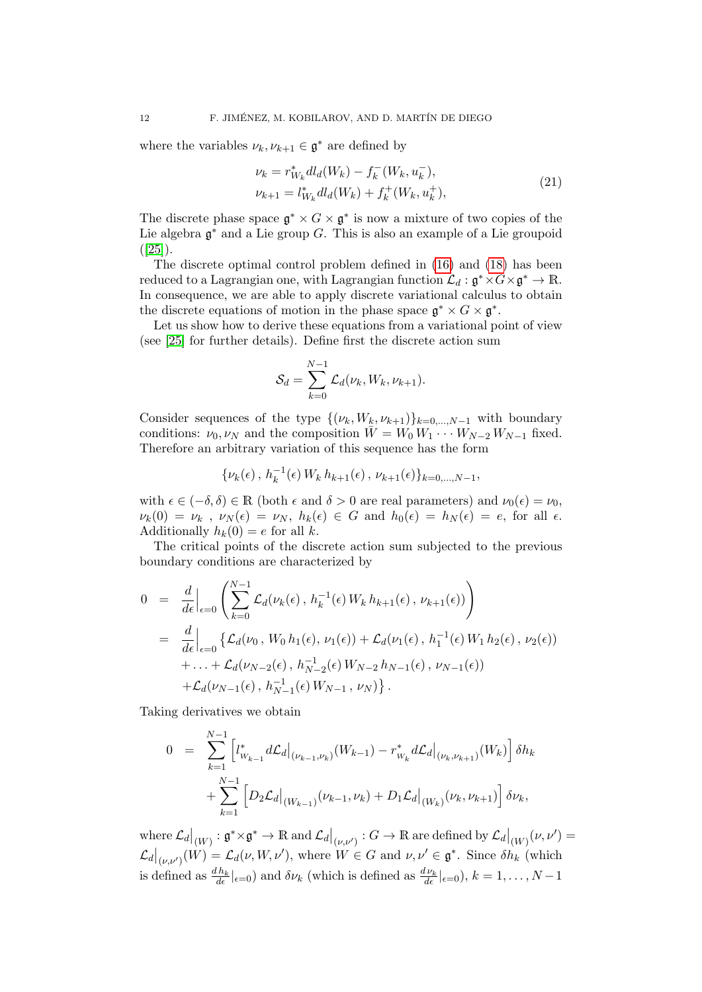where the variables  $\nu_k, \nu_{k+1} \in \mathfrak{g}^*$  are defined by

<span id="page-11-0"></span>
$$
\nu_k = r_{W_k}^* dl_d(W_k) - f_k^-(W_k, u_k^-),
$$
  
\n
$$
\nu_{k+1} = l_{W_k}^* dl_d(W_k) + f_k^+(W_k, u_k^+),
$$
\n(21)

The discrete phase space  $\mathfrak{g}^* \times G \times \mathfrak{g}^*$  is now a mixture of two copies of the Lie algebra  $\mathfrak{g}^*$  and a Lie group G. This is also an example of a Lie groupoid  $([25]).$  $([25]).$  $([25]).$ 

The discrete optimal control problem defined in [\(16\)](#page-10-0) and [\(18\)](#page-10-1) has been reduced to a Lagrangian one, with Lagrangian function  $\mathcal{L}_d: \mathfrak{g}^* \times G \times \mathfrak{g}^* \to \mathbb{R}.$ In consequence, we are able to apply discrete variational calculus to obtain the discrete equations of motion in the phase space  $\mathfrak{g}^* \times G \times \mathfrak{g}^*$ .

Let us show how to derive these equations from a variational point of view (see [\[25\]](#page-28-5) for further details). Define first the discrete action sum

$$
\mathcal{S}_d = \sum_{k=0}^{N-1} \mathcal{L}_d(\nu_k, W_k, \nu_{k+1}).
$$

Consider sequences of the type  $\{(\nu_k, W_k, \nu_{k+1})\}_{k=0,\dots,N-1}$  with boundary conditions:  $\nu_0, \nu_N$  and the composition  $\bar{W} = W_0 W_1 \cdots W_{N-2} W_{N-1}$  fixed. Therefore an arbitrary variation of this sequence has the form

$$
\{\nu_k(\epsilon), h_k^{-1}(\epsilon) W_k h_{k+1}(\epsilon), \nu_{k+1}(\epsilon)\}_{k=0,\ldots,N-1},
$$

with  $\epsilon \in (-\delta, \delta) \in \mathbb{R}$  (both  $\epsilon$  and  $\delta > 0$  are real parameters) and  $\nu_0(\epsilon) = \nu_0$ ,  $\nu_k(0) = \nu_k$ ,  $\nu_N(\epsilon) = \nu_N$ ,  $h_k(\epsilon) \in G$  and  $h_0(\epsilon) = h_N(\epsilon) = e$ , for all  $\epsilon$ . Additionally  $h_k(0) = e$  for all k.

The critical points of the discrete action sum subjected to the previous boundary conditions are characterized by

$$
0 = \frac{d}{d\epsilon}\Big|_{\epsilon=0} \left( \sum_{k=0}^{N-1} \mathcal{L}_d(\nu_k(\epsilon), h_k^{-1}(\epsilon) W_k h_{k+1}(\epsilon), \nu_{k+1}(\epsilon)) \right)
$$
  
\n
$$
= \frac{d}{d\epsilon}\Big|_{\epsilon=0} \left\{ \mathcal{L}_d(\nu_0, W_0 h_1(\epsilon), \nu_1(\epsilon)) + \mathcal{L}_d(\nu_1(\epsilon), h_1^{-1}(\epsilon) W_1 h_2(\epsilon), \nu_2(\epsilon)) + \dots + \mathcal{L}_d(\nu_{N-2}(\epsilon), h_{N-2}^{-1}(\epsilon) W_{N-2} h_{N-1}(\epsilon), \nu_{N-1}(\epsilon)) + \mathcal{L}_d(\nu_{N-1}(\epsilon), h_{N-1}^{-1}(\epsilon) W_{N-1}, \nu_N) \right\}.
$$

Taking derivatives we obtain

$$
0 = \sum_{k=1}^{N-1} \left[ l_{w_{k-1}}^* d\mathcal{L}_d \big|_{(\nu_{k-1}, \nu_k)} (W_{k-1}) - r_{w_k}^* d\mathcal{L}_d \big|_{(\nu_k, \nu_{k+1})} (W_k) \right] \delta h_k
$$
  
+ 
$$
\sum_{k=1}^{N-1} \left[ D_2 \mathcal{L}_d \big|_{(W_{k-1})} (\nu_{k-1}, \nu_k) + D_1 \mathcal{L}_d \big|_{(W_k)} (\nu_k, \nu_{k+1}) \right] \delta \nu_k,
$$

 $\mathsf{where}~\mathcal{L}_d\big|_{(W)}: \mathfrak{g}^* \times \mathfrak{g}^* \to \mathbb{R}~\text{and}~\mathcal{L}_d\big|_{(\nu,\nu')} : G \to \mathbb{R}~\text{are defined by}~\mathcal{L}_d\big|_{(W)}(\nu,\nu')=0$  $\mathcal{L}_d|_{(\nu,\nu')}(W) = \mathcal{L}_d(\nu,W,\nu')$ , where  $W \in G$  and  $\nu,\nu' \in \mathfrak{g}^*$ . Since  $\delta h_k$  (which is defined as  $\frac{dh_k}{d\epsilon}|_{\epsilon=0}$  and  $\delta \nu_k$  (which is defined as  $\frac{d\nu_k}{d\epsilon}|_{\epsilon=0}$ ),  $k=1,\ldots,N-1$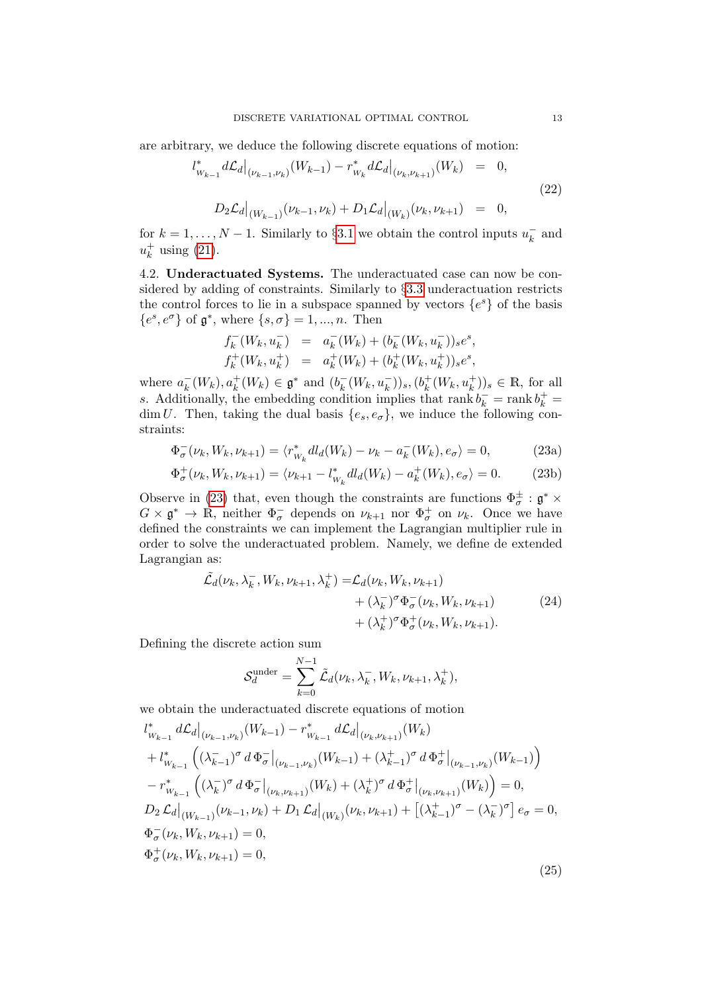are arbitrary, we deduce the following discrete equations of motion:

<span id="page-12-1"></span>
$$
l_{W_{k-1}}^* d\mathcal{L}_d|_{(\nu_{k-1},\nu_k)} (W_{k-1}) - r_{W_k}^* d\mathcal{L}_d|_{(\nu_k,\nu_{k+1})} (W_k) = 0,
$$
  

$$
D_2 \mathcal{L}_d|_{(W_{k-1})} (\nu_{k-1},\nu_k) + D_1 \mathcal{L}_d|_{(W_k)} (\nu_k,\nu_{k+1}) = 0,
$$
 (22)

for  $k = 1, ..., N - 1$ . Similarly to §[3.1](#page-5-2) we obtain the control inputs  $u_k^ \bar{k}$  and  $u_k^+$  $\frac{1}{k}$  using [\(21\)](#page-11-0).

4.2. Underactuated Systems. The underactuated case can now be considered by adding of constraints. Similarly to §[3.3](#page-7-2) underactuation restricts the control forces to lie in a subspace spanned by vectors  $\{e^s\}$  of the basis  ${e^s, e^{\sigma}}$  of  $\mathfrak{g}^*$ , where  $\{s, \sigma\} = 1, ..., n$ . Then

$$
f_k^-(W_k, u_k^-) = a_k^-(W_k) + (b_k^-(W_k, u_k^-))_s e^s,
$$
  

$$
f_k^+(W_k, u_k^+) = a_k^+(W_k) + (b_k^+(W_k, u_k^+))_s e^s,
$$

where  $a_k^ \overline{k}_{k}(W_{k}), a_{k}^{+}(W_{k}) \in \mathfrak{g}^{*}$  and  $(b_{k}^{-})$  $\bar{h}_k^-(W_k, u_k^-))_s, (b_k^+$  $k^+(W_k, u_k^+))_s \in \mathbb{R}$ , for all s. Additionally, the embedding condition implies that rank  $b_k^-$  = rank  $b_k^+$  = dim U. Then, taking the dual basis  $\{e_s, e_{\sigma}\}\$ , we induce the following constraints:

<span id="page-12-0"></span>
$$
\Phi_{\sigma}^-(\nu_k, W_k, \nu_{k+1}) = \langle r_{W_k}^* dl_d(W_k) - \nu_k - a_k^-(W_k), e_{\sigma} \rangle = 0,
$$
\n(23a)

$$
\Phi_{\sigma}^{+}(\nu_k, W_k, \nu_{k+1}) = \langle \nu_{k+1} - l_{W_k}^* dl_d(W_k) - a_k^+(W_k), e_{\sigma} \rangle = 0.
$$
 (23b)

Observe in [\(23\)](#page-12-0) that, even though the constraints are functions  $\Phi_{\sigma}^{\pm}$  :  $\mathfrak{g}^*$   $\times$  $G \times \mathfrak{g}^* \to \mathbb{R}$ , neither  $\Phi_{\sigma}^-$  depends on  $\nu_{k+1}$  nor  $\Phi_{\sigma}^+$  on  $\nu_k$ . Once we have defined the constraints we can implement the Lagrangian multiplier rule in order to solve the underactuated problem. Namely, we define de extended Lagrangian as:

$$
\tilde{\mathcal{L}}_d(\nu_k, \lambda_k^-, W_k, \nu_{k+1}, \lambda_k^+) = \mathcal{L}_d(\nu_k, W_k, \nu_{k+1}) \n+ (\lambda_k^-)^\sigma \Phi_\sigma^-(\nu_k, W_k, \nu_{k+1}) \n+ (\lambda_k^+)^\sigma \Phi_\sigma^+(\nu_k, W_k, \nu_{k+1}).
$$
\n(24)

Defining the discrete action sum

<span id="page-12-2"></span>
$$
\mathcal{S}_d^{\text{under}} = \sum_{k=0}^{N-1} \tilde{\mathcal{L}}_d(\nu_k, \lambda_k^-, W_k, \nu_{k+1}, \lambda_k^+),
$$

we obtain the underactuated discrete equations of motion

$$
l_{W_{k-1}}^{*} d\mathcal{L}_{d}|_{(\nu_{k-1},\nu_{k})} (W_{k-1}) - r_{W_{k-1}}^{*} d\mathcal{L}_{d}|_{(\nu_{k},\nu_{k+1})} (W_{k}) + l_{W_{k-1}}^{*} ((\lambda_{k-1}^{-})^{\sigma} d \Phi_{\sigma}^{-}|_{(\nu_{k-1},\nu_{k})} (W_{k-1}) + (\lambda_{k-1}^{+})^{\sigma} d \Phi_{\sigma}^{+}|_{(\nu_{k-1},\nu_{k})} (W_{k-1}) ) - r_{W_{k-1}}^{*} ((\lambda_{k}^{-})^{\sigma} d \Phi_{\sigma}^{-}|_{(\nu_{k},\nu_{k+1})} (W_{k}) + (\lambda_{k}^{+})^{\sigma} d \Phi_{\sigma}^{+}|_{(\nu_{k},\nu_{k+1})} (W_{k}) ) = 0, D_{2} \mathcal{L}_{d}|_{(W_{k-1})} (\nu_{k-1},\nu_{k}) + D_{1} \mathcal{L}_{d}|_{(W_{k})} (\nu_{k},\nu_{k+1}) + [(\lambda_{k-1}^{+})^{\sigma} - (\lambda_{k}^{-})^{\sigma}] e_{\sigma} = 0, \Phi_{\sigma}^{+} (\nu_{k},W_{k},\nu_{k+1}) = 0, \Phi_{\sigma}^{+} (\nu_{k},W_{k},\nu_{k+1}) = 0,
$$
\n(25)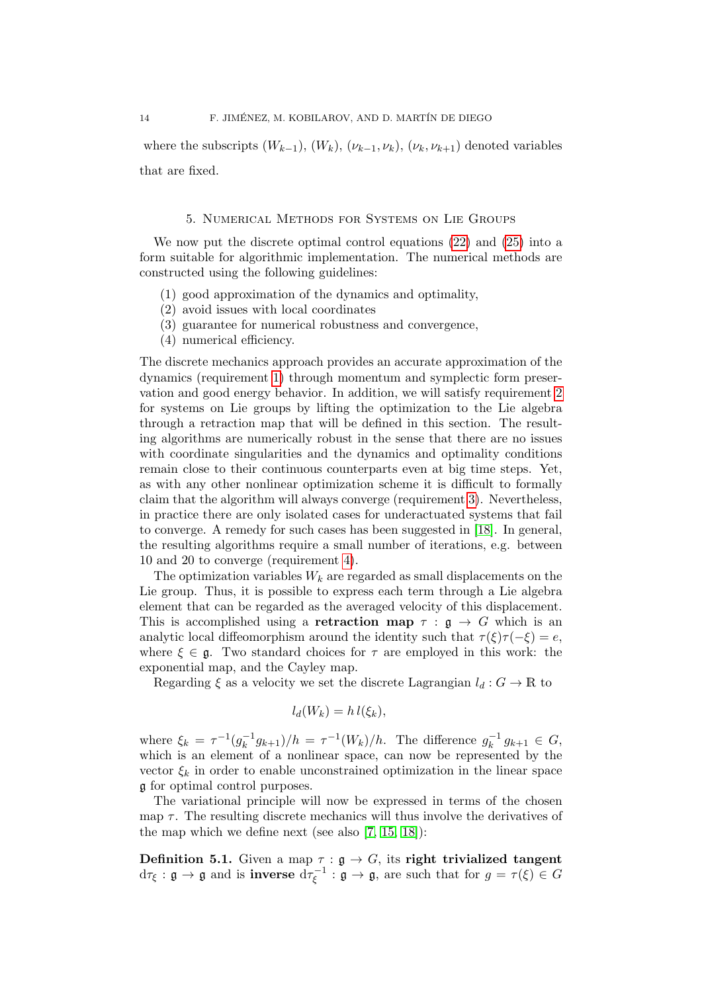where the subscripts  $(W_{k-1}), (W_k), (\nu_{k-1}, \nu_k), (\nu_k, \nu_{k+1})$  denoted variables that are fixed.

## 5. Numerical Methods for Systems on Lie Groups

<span id="page-13-0"></span>We now put the discrete optimal control equations [\(22\)](#page-12-1) and [\(25\)](#page-12-2) into a form suitable for algorithmic implementation. The numerical methods are constructed using the following guidelines:

- <span id="page-13-1"></span>(1) good approximation of the dynamics and optimality,
- <span id="page-13-2"></span>(2) avoid issues with local coordinates
- <span id="page-13-3"></span>(3) guarantee for numerical robustness and convergence,
- <span id="page-13-4"></span>(4) numerical efficiency.

The discrete mechanics approach provides an accurate approximation of the dynamics (requirement [1\)](#page-13-1) through momentum and symplectic form preservation and good energy behavior. In addition, we will satisfy requirement [2](#page-13-2) for systems on Lie groups by lifting the optimization to the Lie algebra through a retraction map that will be defined in this section. The resulting algorithms are numerically robust in the sense that there are no issues with coordinate singularities and the dynamics and optimality conditions remain close to their continuous counterparts even at big time steps. Yet, as with any other nonlinear optimization scheme it is difficult to formally claim that the algorithm will always converge (requirement [3\)](#page-13-3). Nevertheless, in practice there are only isolated cases for underactuated systems that fail to converge. A remedy for such cases has been suggested in [\[18\]](#page-28-2). In general, the resulting algorithms require a small number of iterations, e.g. between 10 and 20 to converge (requirement [4\)](#page-13-4).

The optimization variables  $W_k$  are regarded as small displacements on the Lie group. Thus, it is possible to express each term through a Lie algebra element that can be regarded as the averaged velocity of this displacement. This is accomplished using a **retraction map**  $\tau : \mathfrak{g} \to G$  which is an analytic local diffeomorphism around the identity such that  $\tau(\xi)\tau(-\xi) = e$ , where  $\xi \in \mathfrak{g}$ . Two standard choices for  $\tau$  are employed in this work: the exponential map, and the Cayley map.

Regarding  $\xi$  as a velocity we set the discrete Lagrangian  $l_d : G \to \mathbb{R}$  to

$$
l_d(W_k) = h l(\xi_k),
$$

where  $\xi_k = \tau^{-1}(g_k^{-1})$  $(\eta_k^{-1}g_{k+1})/h = \tau^{-1}(W_k)/h$ . The difference  $g_k^{-1}$  $g_{k+1}^{-1} g_{k+1} \in G,$ which is an element of a nonlinear space, can now be represented by the vector  $\xi_k$  in order to enable unconstrained optimization in the linear space g for optimal control purposes.

The variational principle will now be expressed in terms of the chosen map  $\tau$ . The resulting discrete mechanics will thus involve the derivatives of the map which we define next (see also [\[7,](#page-27-7) [15,](#page-28-10) [18\]](#page-28-2)):

Definition 5.1. Given a map  $\tau : \mathfrak{g} \to G$ , its right trivialized tangent  $\mathrm{d}\tau_\xi:\mathfrak{g}\to\mathfrak{g}$  and is **inverse**  $\mathrm{d}\tau_\varepsilon^{-1}$  $\mathfrak{c}_{\xi}^{-1}$ :  $\mathfrak{g} \to \mathfrak{g}$ , are such that for  $g = \tau(\xi) \in G$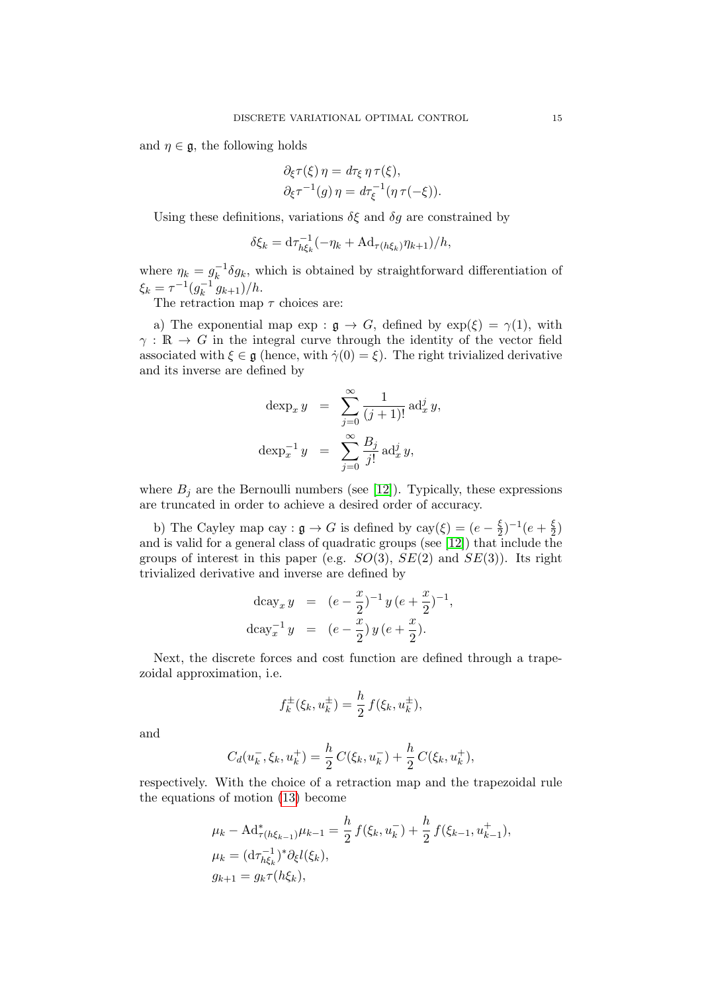and  $\eta \in \mathfrak{g}$ , the following holds

$$
\partial_{\xi}\tau(\xi)\eta = d\tau_{\xi}\eta\tau(\xi),
$$
  

$$
\partial_{\xi}\tau^{-1}(g)\eta = d\tau_{\xi}^{-1}(\eta\tau(-\xi)).
$$

Using these definitions, variations  $\delta \xi$  and  $\delta g$  are constrained by

$$
\delta \xi_k = \mathrm{d}\tau_{h\xi_k}^{-1}(-\eta_k + \mathrm{Ad}_{\tau(h\xi_k)}\eta_{k+1})/h,
$$

where  $\eta_k = g_k^{-1}$  $k_k^{-1}$   $\delta g_k$ , which is obtained by straightforward differentiation of  $\xi_k = \tau^{-1} (g_k^{-1})$  $(k^{-1} g_{k+1})/h$ .

The retraction map  $\tau$  choices are:

a) The exponential map  $\exp : \mathfrak{g} \to G$ , defined by  $\exp(\xi) = \gamma(1)$ , with  $\gamma : \mathbb{R} \to G$  in the integral curve through the identity of the vector field associated with  $\xi \in \mathfrak{g}$  (hence, with  $\dot{\gamma}(0) = \xi$ ). The right trivialized derivative and its inverse are defined by

$$
\begin{array}{rcl}\n\text{dexp}_x y & = & \sum_{j=0}^{\infty} \frac{1}{(j+1)!} \, \text{ad}_x^j y, \\
\text{dexp}_x^{-1} y & = & \sum_{j=0}^{\infty} \frac{B_j}{j!} \, \text{ad}_x^j y,\n\end{array}
$$

where  $B_i$  are the Bernoulli numbers (see [\[12\]](#page-27-5)). Typically, these expressions are truncated in order to achieve a desired order of accuracy.

b) The Cayley map cay :  $\mathfrak{g} \to G$  is defined by cay $(\xi) = (e - \frac{\xi}{2})$  $(\frac{\xi}{2})^{-1}(e + \frac{\xi}{2})$  $\frac{\xi}{2}$ and is valid for a general class of quadratic groups (see [\[12\]](#page-27-5)) that include the groups of interest in this paper (e.g.  $SO(3)$ ,  $SE(2)$  and  $SE(3)$ ). Its right trivialized derivative and inverse are defined by

$$
\begin{aligned}\n\text{d}\text{cay}_x \, y &= (e - \frac{x}{2})^{-1} \, y \, (e + \frac{x}{2})^{-1}, \\
\text{d}\text{cay}_x^{-1} \, y &= (e - \frac{x}{2}) \, y \, (e + \frac{x}{2}).\n\end{aligned}
$$

Next, the discrete forces and cost function are defined through a trapezoidal approximation, i.e.

$$
f_k^{\pm}(\xi_k, u_k^{\pm}) = \frac{h}{2} f(\xi_k, u_k^{\pm}),
$$

and

$$
C_d(u_k^-, \xi_k, u_k^+) = \frac{h}{2} C(\xi_k, u_k^-) + \frac{h}{2} C(\xi_k, u_k^+),
$$

respectively. With the choice of a retraction map and the trapezoidal rule the equations of motion [\(13\)](#page-9-1) become

$$
\mu_k - \mathrm{Ad}^*_{\tau(h\xi_{k-1})}\mu_{k-1} = \frac{h}{2} f(\xi_k, u_k^-) + \frac{h}{2} f(\xi_{k-1}, u_{k-1}^+),
$$
  
\n
$$
\mu_k = (\mathrm{d}\tau_{h\xi_k}^{-1})^* \partial_{\xi} l(\xi_k),
$$
  
\n
$$
g_{k+1} = g_k \tau(h\xi_k),
$$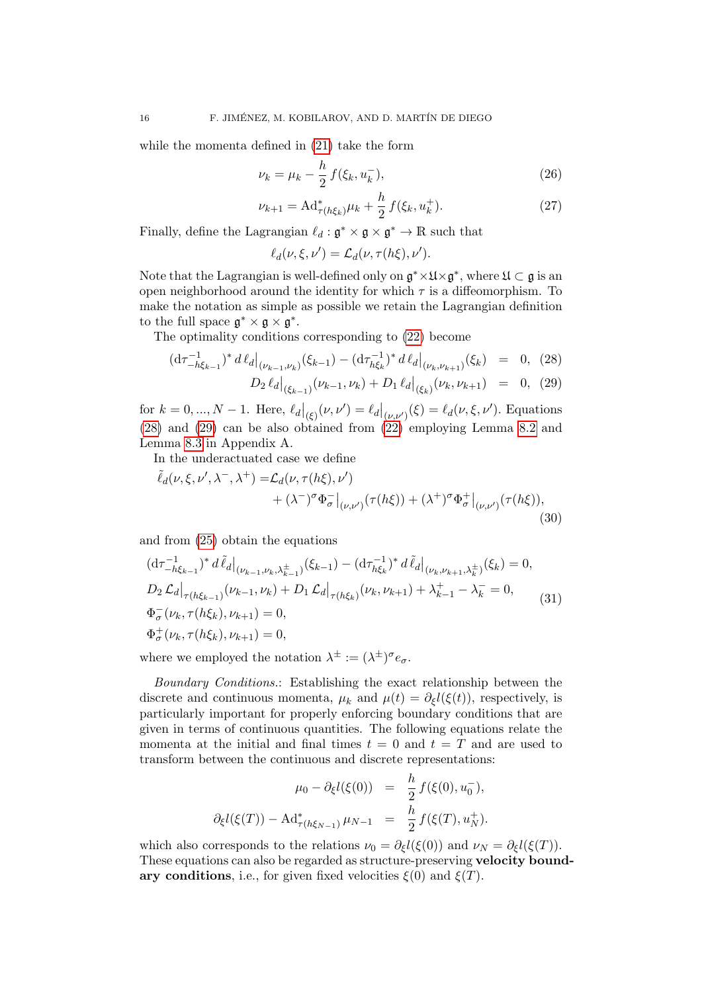while the momenta defined in [\(21\)](#page-11-0) take the form

$$
\nu_k = \mu_k - \frac{h}{2} f(\xi_k, u_k^-), \tag{26}
$$

$$
\nu_{k+1} = \mathrm{Ad}^*_{\tau(h\xi_k)}\mu_k + \frac{h}{2} f(\xi_k, u_k^+). \tag{27}
$$

Finally, define the Lagrangian  $\ell_d : \mathfrak{g}^* \times \mathfrak{g} \times \mathfrak{g}^* \to \mathbb{R}$  such that

$$
\ell_d(\nu,\xi,\nu')=\mathcal{L}_d(\nu,\tau(h\xi),\nu').
$$

Note that the Lagrangian is well-defined only on  $\mathfrak{g}^* \times \mathfrak{U} \times \mathfrak{g}^*$ , where  $\mathfrak{U} \subset \mathfrak{g}$  is an open neighborhood around the identity for which  $\tau$  is a diffeomorphism. To make the notation as simple as possible we retain the Lagrangian definition to the full space  $\mathfrak{g}^* \times \mathfrak{g} \times \mathfrak{g}^*$ .

The optimality conditions corresponding to [\(22\)](#page-12-1) become

<span id="page-15-0"></span>
$$
(\mathrm{d}\tau_{-h\xi_{k-1}}^{-1})^* d\ell_d|_{(\nu_{k-1},\nu_k)} (\xi_{k-1}) - (\mathrm{d}\tau_{h\xi_k}^{-1})^* d\ell_d|_{(\nu_k,\nu_{k+1})} (\xi_k) = 0, \tag{28}
$$

<span id="page-15-1"></span>
$$
D_2 \,\ell_d \big|_{(\xi_{k-1})} (\nu_{k-1}, \nu_k) + D_1 \,\ell_d \big|_{(\xi_k)} (\nu_k, \nu_{k+1}) = 0, \tag{29}
$$

for  $k = 0, ..., N - 1$ . Here,  $\ell_d|_{(\xi)}(\nu, \nu') = \ell_d|_{(\nu, \nu')}(\xi) = \ell_d(\nu, \xi, \nu')$ . Equations [\(28\)](#page-15-0) and [\(29\)](#page-15-0) can be also obtained from [\(22\)](#page-12-1) employing Lemma [8.2](#page-27-8) and Lemma [8.3](#page-27-9) in Appendix A.

In the underactuated case we define

$$
\tilde{\ell}_d(\nu,\xi,\nu',\lambda^-,\lambda^+) = \mathcal{L}_d(\nu,\tau(h\xi),\nu') \n+ (\lambda^-)^\sigma \Phi_\sigma^-|_{(\nu,\nu')}(\tau(h\xi)) + (\lambda^+)^\sigma \Phi_\sigma^+|_{(\nu,\nu')}(\tau(h\xi)),
$$
\n(30)

and from [\(25\)](#page-12-2) obtain the equations

$$
\begin{aligned}\n(\mathrm{d}\tau_{-h\xi_{k-1}}^{-1})^* d\tilde{\ell}_d|_{(\nu_{k-1},\nu_k,\lambda_{k-1}^{\pm})}(\xi_{k-1}) - (\mathrm{d}\tau_{h\xi_k}^{-1})^* d\tilde{\ell}_d|_{(\nu_k,\nu_{k+1},\lambda_k^{\pm})}(\xi_k) &= 0, \\
D_2 \mathcal{L}_d|_{\tau(h\xi_{k-1})}(\nu_{k-1},\nu_k) + D_1 \mathcal{L}_d|_{\tau(h\xi_k)}(\nu_k,\nu_{k+1}) + \lambda_{k-1}^+ - \lambda_k^- &= 0, \\
\Phi_\sigma^-(\nu_k,\tau(h\xi_k),\nu_{k+1}) &= 0, \\
\Phi_\sigma^+(\nu_k,\tau(h\xi_k),\nu_{k+1}) &= 0,\n\end{aligned} \tag{31}
$$

where we employed the notation  $\lambda^{\pm} := (\lambda^{\pm})^{\sigma} e_{\sigma}$ .

Boundary Conditions.: Establishing the exact relationship between the discrete and continuous momenta,  $\mu_k$  and  $\mu(t) = \partial_{\xi} l(\xi(t))$ , respectively, is particularly important for properly enforcing boundary conditions that are given in terms of continuous quantities. The following equations relate the momenta at the initial and final times  $t = 0$  and  $t = T$  and are used to transform between the continuous and discrete representations:

$$
\mu_0 - \partial_{\xi} l(\xi(0)) = \frac{h}{2} f(\xi(0), u_0^{-}),
$$
  

$$
\partial_{\xi} l(\xi(T)) - \mathrm{Ad}^*_{\tau(h\xi_{N-1})} \mu_{N-1} = \frac{h}{2} f(\xi(T), u_N^{+}).
$$

which also corresponds to the relations  $\nu_0 = \partial_{\xi} l(\xi(0))$  and  $\nu_N = \partial_{\xi} l(\xi(T))$ . These equations can also be regarded as structure-preserving velocity boundary conditions, i.e., for given fixed velocities  $\xi(0)$  and  $\xi(T)$ .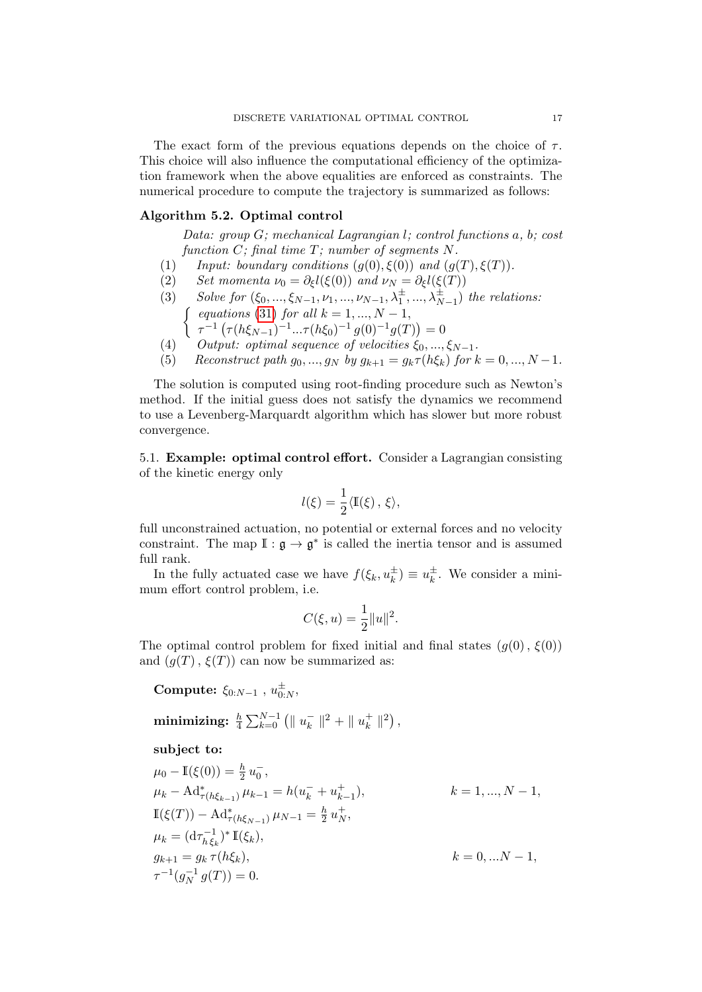The exact form of the previous equations depends on the choice of  $\tau$ . This choice will also influence the computational efficiency of the optimization framework when the above equalities are enforced as constraints. The numerical procedure to compute the trajectory is summarized as follows:

# <span id="page-16-1"></span>Algorithm 5.2. Optimal control

Data: group G; mechanical Lagrangian l; control functions a, b; cost function  $C$ ; final time  $T$ ; number of segments  $N$ .

- (1) Input: boundary conditions  $(g(0), \xi(0))$  and  $(g(T), \xi(T))$ .
- (2) Set momenta  $\nu_0 = \partial_{\xi} l(\xi(0))$  and  $\nu_N = \partial_{\xi} l(\xi(T))$
- (3) Solve for  $(\xi_0, ..., \xi_{N-1}, \nu_1, ..., \nu_{N-1}, \lambda_1^{\pm}, ..., \lambda_{N-1}^{\pm})$  the relations:  $\int$  equations [\(31\)](#page-15-1) for all  $k = 1, ..., N - 1$ ,
	- $\tau^{-1}\left(\tau(h\xi_{N-1})^{-1}...\tau(h\xi_0)^{-1}g(0)^{-1}g(T)\right)=0$
- (4) Output: optimal sequence of velocities  $\xi_0, ..., \xi_{N-1}$ .
- (5) Reconstruct path  $g_0, ..., g_N$  by  $g_{k+1} = g_k \tau(h \xi_k)$  for  $k = 0, ..., N-1$ .

The solution is computed using root-finding procedure such as Newton's method. If the initial guess does not satisfy the dynamics we recommend to use a Levenberg-Marquardt algorithm which has slower but more robust convergence.

<span id="page-16-0"></span>5.1. Example: optimal control effort. Consider a Lagrangian consisting of the kinetic energy only

$$
l(\xi) = \frac{1}{2} \langle \mathbb{I}(\xi) , \xi \rangle,
$$

full unconstrained actuation, no potential or external forces and no velocity constraint. The map  $\mathbb{I}: \mathfrak{g} \to \mathfrak{g}^*$  is called the inertia tensor and is assumed full rank.

In the fully actuated case we have  $f(\xi_k, u_k^{\pm}) \equiv u_k^{\pm}$  $\frac{1}{k}$ . We consider a minimum effort control problem, i.e.

$$
C(\xi, u) = \frac{1}{2} ||u||^2.
$$

The optimal control problem for fixed initial and final states  $(g(0), \xi(0))$ and  $(g(T), \xi(T))$  can now be summarized as:

Compute:  $\xi_{0:N-1}$  ,  $u^{\pm}_{0:N}$  $_{0:N}^\pm,$ 

$$
\textbf{minimizing:} \ \tfrac{h}{4} \sum_{k=0}^{N-1} \left( \| \ u_{k}^{-} \|^2 + \| \ u_{k}^{+} \|^2 \right),
$$

subject to:

$$
\mu_0 - \mathbb{I}(\xi(0)) = \frac{h}{2} u_0^-,
$$
  
\n
$$
\mu_k - \mathrm{Ad}_{\tau(h\xi_{k-1})}^* \mu_{k-1} = h(u_k^- + u_{k-1}^+),
$$
  
\n
$$
\mathbb{I}(\xi(T)) - \mathrm{Ad}_{\tau(h\xi_{N-1})}^* \mu_{N-1} = \frac{h}{2} u_N^+,
$$
  
\n
$$
\mu_k = (\mathrm{d}\tau_{h\xi_k}^{-1})^* \mathbb{I}(\xi_k),
$$
  
\n
$$
g_{k+1} = g_k \tau(h\xi_k),
$$
  
\n
$$
\tau^{-1}(g_N^{-1} g(T)) = 0.
$$
  
\n
$$
(k = 0, ... N - 1,
$$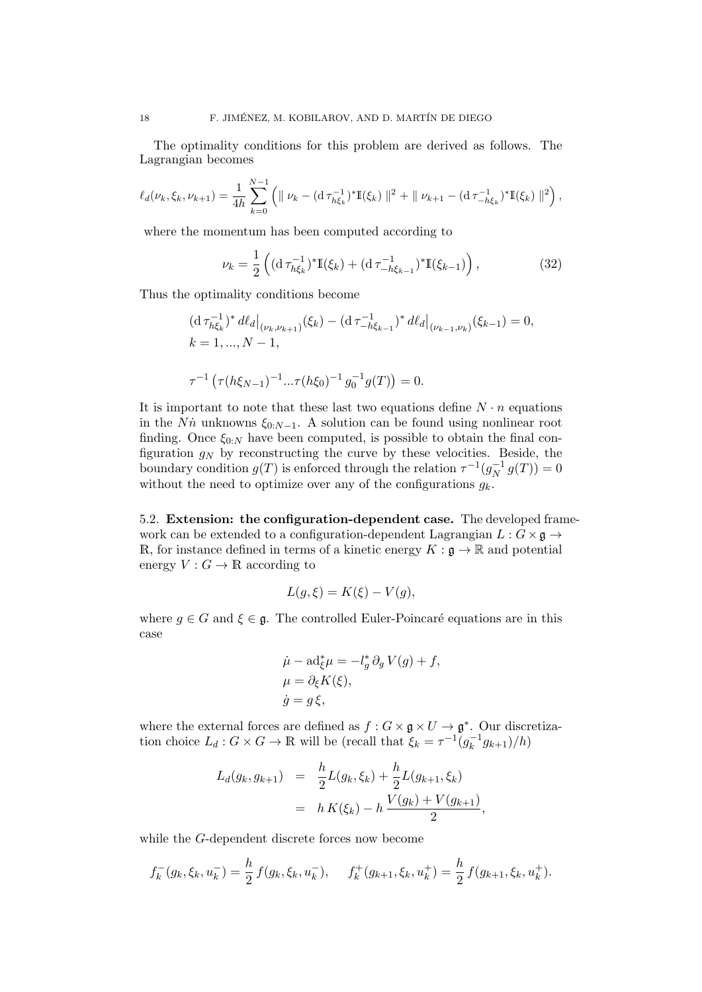The optimality conditions for this problem are derived as follows. The Lagrangian becomes

$$
\ell_d(\nu_k, \xi_k, \nu_{k+1}) = \frac{1}{4h} \sum_{k=0}^{N-1} \left( \| \nu_k - (\mathrm{d} \, \tau_{h\xi_k}^{-1})^* \mathbb{I}(\xi_k) \|^2 + \| \nu_{k+1} - (\mathrm{d} \, \tau_{-h\xi_k}^{-1})^* \mathbb{I}(\xi_k) \|^2 \right),
$$

where the momentum has been computed according to

$$
\nu_k = \frac{1}{2} \left( (\mathrm{d} \,\tau_{h\xi_k}^{-1})^* \mathbb{I}(\xi_k) + (\mathrm{d} \,\tau_{-h\xi_{k-1}}^{-1})^* \mathbb{I}(\xi_{k-1}) \right),\tag{32}
$$

Thus the optimality conditions become

$$
\begin{aligned} & (\mathrm{d}\,\tau_{h\xi_k}^{-1})^* \, d\ell_d \big|_{(\nu_k,\nu_{k+1})} (\xi_k) - (\mathrm{d}\,\tau_{-h\xi_{k-1}}^{-1})^* \, d\ell_d \big|_{(\nu_{k-1},\nu_k)} (\xi_{k-1}) = 0, \\ & k = 1, \dots, N-1, \\ & \tau^{-1} \left( \tau(h\xi_{N-1})^{-1} \dots \tau(h\xi_0)^{-1} \, g_0^{-1} g(T) \right) = 0. \end{aligned}
$$

It is important to note that these last two equations define  $N \cdot n$  equations in the Nṅ̃ unknowns  $\xi_{0:N-1}$ . A solution can be found using nonlinear root finding. Once  $\xi_{0:N}$  have been computed, is possible to obtain the final configuration  $g_N$  by reconstructing the curve by these velocities. Beside, the boundary condition  $g(T)$  is enforced through the relation  $\tau^{-1}(g_N^{-1})$  $g_N^{-1} g(T)) = 0$ without the need to optimize over any of the configurations  $g_k$ .

5.2. Extension: the configuration-dependent case. The developed framework can be extended to a configuration-dependent Lagrangian  $L : G \times \mathfrak{g} \to$ R, for instance defined in terms of a kinetic energy  $K : \mathfrak{g} \to \mathbb{R}$  and potential energy  $V: G \to \mathbb{R}$  according to

$$
L(g,\xi) = K(\xi) - V(g),
$$

where  $g \in G$  and  $\xi \in \mathfrak{g}$ . The controlled Euler-Poincaré equations are in this case

$$
\dot{\mu} - ad_{\xi}^{*} \mu = -l_g^{*} \partial_g V(g) + f,
$$
  
\n
$$
\mu = \partial_{\xi} K(\xi),
$$
  
\n
$$
\dot{g} = g \xi,
$$

where the external forces are defined as  $f: G \times \mathfrak{g} \times U \to \mathfrak{g}^*$ . Our discretization choice  $L_d: G \times G \to \mathbb{R}$  will be (recall that  $\xi_k = \tau^{-1}(g_k^{-1})$  $g_{k+1}^{-1}(h)$ 

$$
L_d(g_k, g_{k+1}) = \frac{h}{2}L(g_k, \xi_k) + \frac{h}{2}L(g_{k+1}, \xi_k)
$$
  
=  $h K(\xi_k) - h \frac{V(g_k) + V(g_{k+1})}{2},$ 

while the G-dependent discrete forces now become

$$
f_k^-(g_k, \xi_k, u_k^-) = \frac{h}{2} f(g_k, \xi_k, u_k^-), \quad f_k^+(g_{k+1}, \xi_k, u_k^+) = \frac{h}{2} f(g_{k+1}, \xi_k, u_k^+).
$$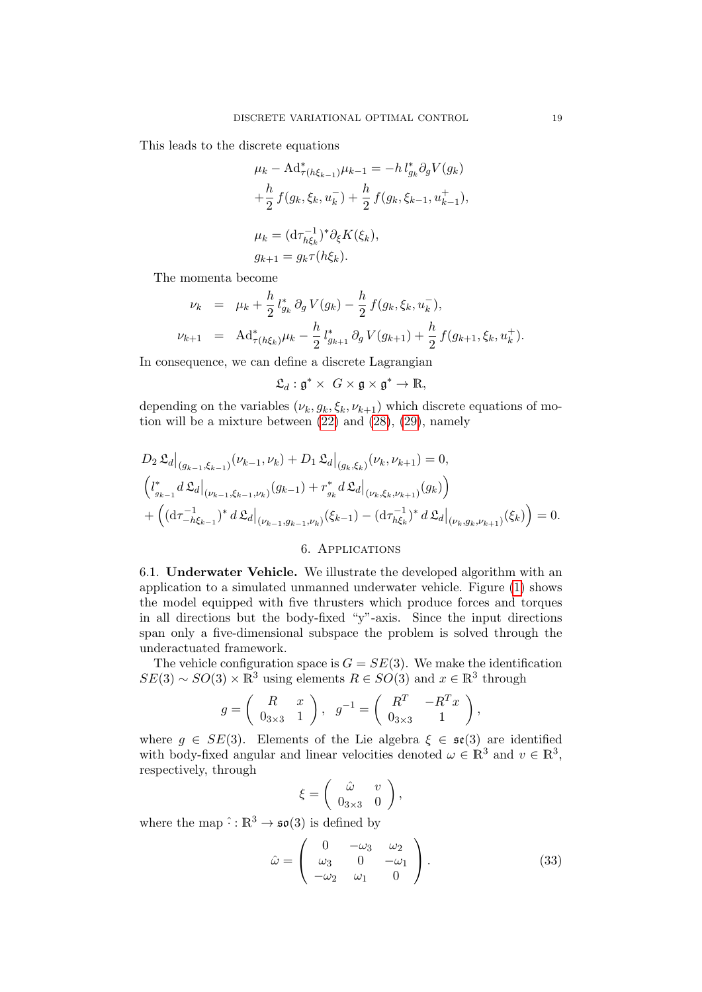This leads to the discrete equations

$$
\mu_k - \mathrm{Ad}^*_{\tau(h\xi_{k-1})}\mu_{k-1} = -h l^*_{g_k} \partial_g V(g_k)
$$
  
+  $\frac{h}{2} f(g_k, \xi_k, u_k^-) + \frac{h}{2} f(g_k, \xi_{k-1}, u_{k-1}^+),$   

$$
\mu_k = (\mathrm{d}\tau_{h\xi_k}^{-1})^* \partial_\xi K(\xi_k),
$$
  

$$
g_{k+1} = g_k \tau(h\xi_k).
$$

The momenta become

$$
\nu_k = \mu_k + \frac{h}{2} l_{g_k}^* \partial_g V(g_k) - \frac{h}{2} f(g_k, \xi_k, u_k),
$$
  

$$
\nu_{k+1} = \text{Ad}^*_{\tau(h\xi_k)} \mu_k - \frac{h}{2} l_{g_{k+1}}^* \partial_g V(g_{k+1}) + \frac{h}{2} f(g_{k+1}, \xi_k, u_k^+).
$$

In consequence, we can define a discrete Lagrangian

 $\mathfrak{L}_d: \mathfrak{g}^* \times G \times \mathfrak{g} \times \mathfrak{g}^* \to \mathbb{R},$ 

depending on the variables  $(\nu_k, g_k, \xi_k, \nu_{k+1})$  which discrete equations of motion will be a mixture between [\(22\)](#page-12-1) and [\(28\)](#page-15-0), [\(29\)](#page-15-0), namely

$$
D_2 \mathfrak{L}_d \Big|_{(g_{k-1}, \xi_{k-1})} (\nu_{k-1}, \nu_k) + D_1 \mathfrak{L}_d \Big|_{(g_k, \xi_k)} (\nu_k, \nu_{k+1}) = 0,
$$
  

$$
\left( l_{g_{k-1}}^* d \mathfrak{L}_d \Big|_{(\nu_{k-1}, \xi_{k-1}, \nu_k)} (g_{k-1}) + r_{g_k}^* d \mathfrak{L}_d \Big|_{(\nu_k, \xi_k, \nu_{k+1})} (g_k) \right)
$$
  

$$
+ \left( (\mathrm{d}\tau_{-h\xi_{k-1}}^{-1})^* d \mathfrak{L}_d \Big|_{(\nu_{k-1}, g_{k-1}, \nu_k)} (\xi_{k-1}) - (\mathrm{d}\tau_{h\xi_k}^{-1})^* d \mathfrak{L}_d \Big|_{(\nu_k, g_k, \nu_{k+1})} (\xi_k) \right) = 0.
$$

## 6. Applications

<span id="page-18-0"></span>6.1. Underwater Vehicle. We illustrate the developed algorithm with an application to a simulated unmanned underwater vehicle. Figure [\(1\)](#page-19-0) shows the model equipped with five thrusters which produce forces and torques in all directions but the body-fixed "y"-axis. Since the input directions span only a five-dimensional subspace the problem is solved through the underactuated framework.

The vehicle configuration space is  $G = SE(3)$ . We make the identification  $SE(3) \sim SO(3) \times \mathbb{R}^3$  using elements  $R \in SO(3)$  and  $x \in \mathbb{R}^3$  through

$$
g = \left(\begin{array}{cc} R & x \\ 0_{3\times 3} & 1 \end{array}\right), \quad g^{-1} = \left(\begin{array}{cc} R^T & -R^T x \\ 0_{3\times 3} & 1 \end{array}\right),
$$

where  $g \in SE(3)$ . Elements of the Lie algebra  $\xi \in \mathfrak{se}(3)$  are identified with body-fixed angular and linear velocities denoted  $\omega \in \mathbb{R}^3$  and  $v \in \mathbb{R}^3$ , respectively, through

$$
\xi = \left( \begin{array}{cc} \hat{\omega} & v \\ 0_{3 \times 3} & 0 \end{array} \right),
$$

where the map  $\hat{\cdot} : \mathbb{R}^3 \to \mathfrak{so}(3)$  is defined by

$$
\hat{\omega} = \begin{pmatrix} 0 & -\omega_3 & \omega_2 \\ \omega_3 & 0 & -\omega_1 \\ -\omega_2 & \omega_1 & 0 \end{pmatrix} . \tag{33}
$$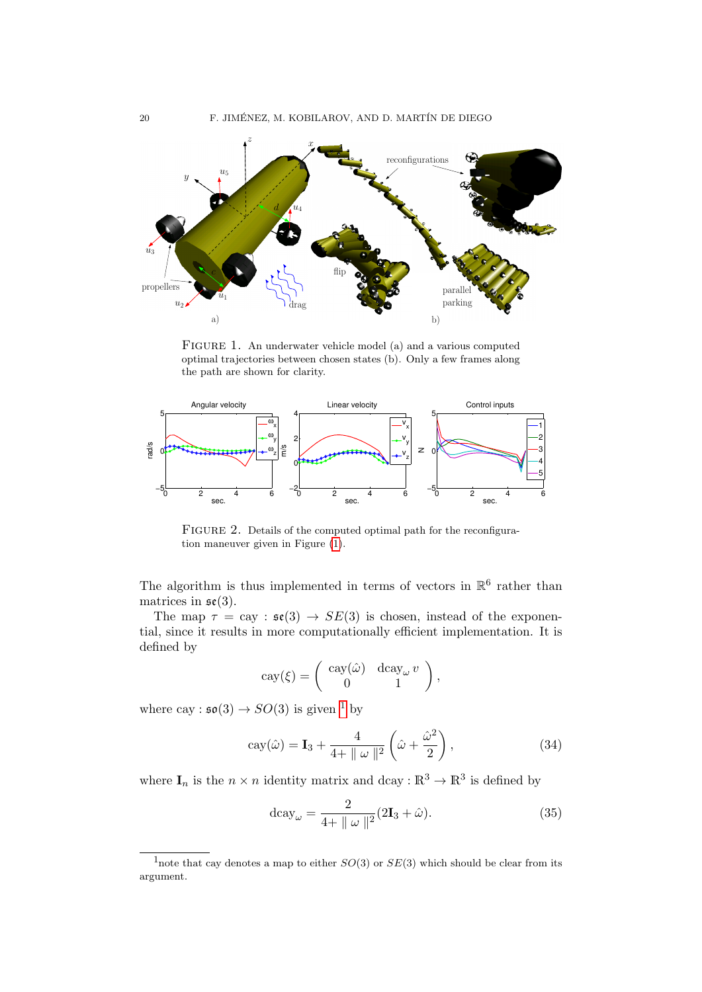

<span id="page-19-0"></span>FIGURE 1. An underwater vehicle model (a) and a various computed optimal trajectories between chosen states (b). Only a few frames along the path are shown for clarity.



<span id="page-19-2"></span>FIGURE 2. Details of the computed optimal path for the reconfiguration maneuver given in Figure [\(1\)](#page-19-0).

The algorithm is thus implemented in terms of vectors in  $\mathbb{R}^6$  rather than matrices in  $\mathfrak{se}(3)$ .

The map  $\tau = \text{cay} : \mathfrak{se}(3) \rightarrow SE(3)$  is chosen, instead of the exponential, since it results in more computationally efficient implementation. It is defined by

$$
cay(\xi) = \begin{pmatrix} cay(\hat{\omega}) & dcay_{\omega} \, v \\ 0 & 1 \end{pmatrix},
$$

where cay :  $\mathfrak{so}(3) \rightarrow SO(3)$  is given <sup>[1](#page-19-1)</sup> by

$$
cay(\hat{\omega}) = \mathbf{I}_3 + \frac{4}{4 + \|\omega\|^2} \left(\hat{\omega} + \frac{\hat{\omega}^2}{2}\right),\tag{34}
$$

where  $I_n$  is the  $n \times n$  identity matrix and dcay:  $\mathbb{R}^3 \to \mathbb{R}^3$  is defined by

$$
d\text{cay}_{\omega} = \frac{2}{4 + \|\omega\|^2} (2\mathbf{I}_3 + \hat{\omega}).
$$
\n(35)

<span id="page-19-1"></span><sup>&</sup>lt;sup>1</sup>note that cay denotes a map to either  $SO(3)$  or  $SE(3)$  which should be clear from its argument.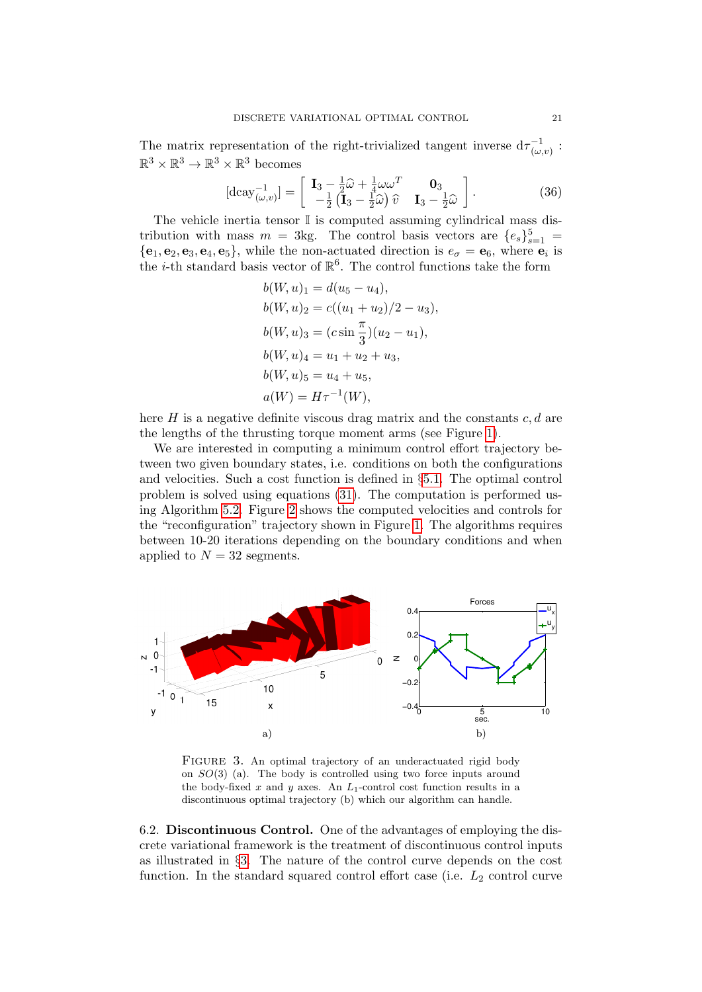The matrix representation of the right-trivialized tangent inverse  $d\tau_{\omega}^{-1}$  $\frac{(-1)}{(\omega,v)}$ :  $\mathbb{R}^3 \times \mathbb{R}^3 \to \mathbb{R}^3 \times \mathbb{R}^3$  becomes

$$
[\text{dcay}_{(\omega,v)}^{-1}] = \begin{bmatrix} \mathbf{I}_3 - \frac{1}{2}\hat{\omega} + \frac{1}{4}\omega\omega^T & \mathbf{0}_3\\ -\frac{1}{2}(\mathbf{I}_3 - \frac{1}{2}\hat{\omega})\hat{v} & \mathbf{I}_3 - \frac{1}{2}\hat{\omega} \end{bmatrix}.
$$
 (36)

The vehicle inertia tensor  $\mathbb{I}$  is computed assuming cylindrical mass distribution with mass  $m = 3$ kg. The control basis vectors are  $\{e_s\}_{s=1}^5$  ${e_1, e_2, e_3, e_4, e_5}$ , while the non-actuated direction is  $e_{\sigma} = e_6$ , where  $e_i$  is the *i*-th standard basis vector of  $\mathbb{R}^6$ . The control functions take the form

$$
b(W, u)_1 = d(u_5 - u_4),
$$
  
\n
$$
b(W, u)_2 = c((u_1 + u_2)/2 - u_3),
$$
  
\n
$$
b(W, u)_3 = (c \sin \frac{\pi}{3})(u_2 - u_1),
$$
  
\n
$$
b(W, u)_4 = u_1 + u_2 + u_3,
$$
  
\n
$$
b(W, u)_5 = u_4 + u_5,
$$
  
\n
$$
a(W) = H\tau^{-1}(W),
$$

here  $H$  is a negative definite viscous drag matrix and the constants  $c, d$  are the lengths of the thrusting torque moment arms (see Figure [1\)](#page-19-0).

We are interested in computing a minimum control effort trajectory between two given boundary states, i.e. conditions on both the configurations and velocities. Such a cost function is defined in §[5.1.](#page-16-0) The optimal control problem is solved using equations [\(31\)](#page-15-1). The computation is performed using Algorithm [5.2.](#page-16-1) Figure [2](#page-19-2) shows the computed velocities and controls for the "reconfiguration" trajectory shown in Figure [1.](#page-19-0) The algorithms requires between 10-20 iterations depending on the boundary conditions and when applied to  $N = 32$  segments.



<span id="page-20-0"></span>FIGURE 3. An optimal trajectory of an underactuated rigid body on SO(3) (a). The body is controlled using two force inputs around the body-fixed x and y axes. An  $L_1$ -control cost function results in a discontinuous optimal trajectory (b) which our algorithm can handle.

6.2. Discontinuous Control. One of the advantages of employing the discrete variational framework is the treatment of discontinuous control inputs as illustrated in §[3.](#page-3-0) The nature of the control curve depends on the cost function. In the standard squared control effort case (i.e.  $L_2$  control curve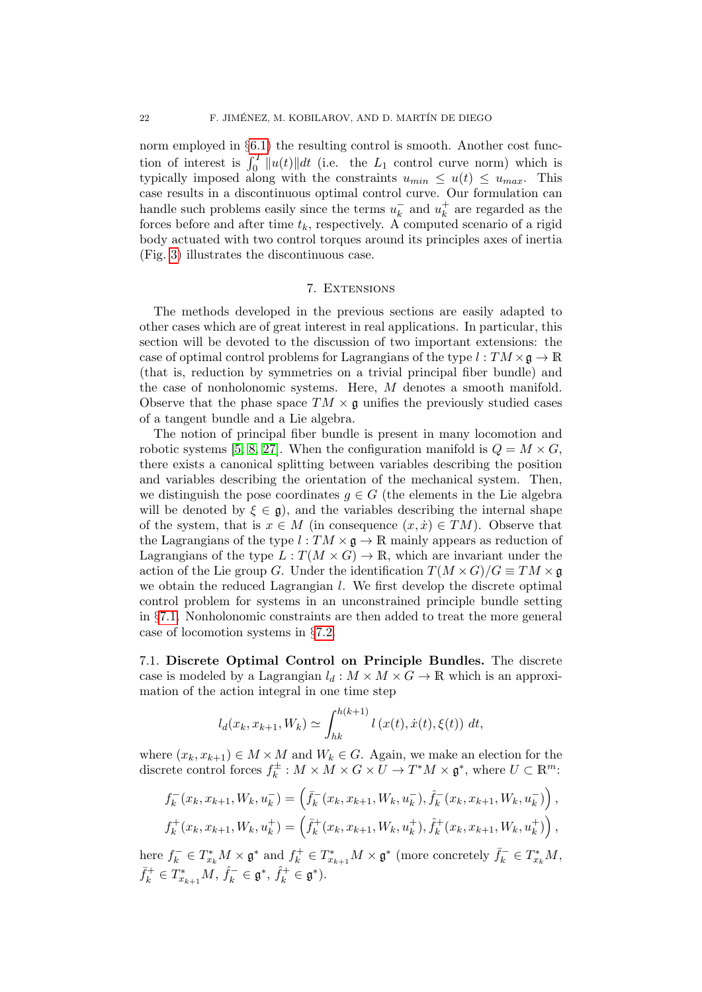norm employed in  $\S6.1$ ) the resulting control is smooth. Another cost function of interest is  $\int_0^T \|u(t)\| dt$  (i.e. the  $L_1$  control curve norm) which is typically imposed along with the constraints  $u_{min} \leq u(t) \leq u_{max}$ . This case results in a discontinuous optimal control curve. Our formulation can handle such problems easily since the terms  $u_k^ \bar{k}$  and  $u_k^+$  $\frac{1}{k}$  are regarded as the forces before and after time  $t_k$ , respectively. A computed scenario of a rigid body actuated with two control torques around its principles axes of inertia (Fig. [3\)](#page-20-0) illustrates the discontinuous case.

### 7. Extensions

<span id="page-21-0"></span>The methods developed in the previous sections are easily adapted to other cases which are of great interest in real applications. In particular, this section will be devoted to the discussion of two important extensions: the case of optimal control problems for Lagrangians of the type  $l : TM \times \mathfrak{g} \to \mathbb{R}$ (that is, reduction by symmetries on a trivial principal fiber bundle) and the case of nonholonomic systems. Here, M denotes a smooth manifold. Observe that the phase space  $TM \times \mathfrak{g}$  unifies the previously studied cases of a tangent bundle and a Lie algebra.

The notion of principal fiber bundle is present in many locomotion and robotic systems [\[5,](#page-27-10) [8,](#page-27-11) [27\]](#page-28-11). When the configuration manifold is  $Q = M \times G$ . there exists a canonical splitting between variables describing the position and variables describing the orientation of the mechanical system. Then, we distinguish the pose coordinates  $g \in G$  (the elements in the Lie algebra will be denoted by  $\xi \in \mathfrak{g}$ , and the variables describing the internal shape of the system, that is  $x \in M$  (in consequence  $(x, \dot{x}) \in TM$ ). Observe that the Lagrangians of the type  $l : TM \times \mathfrak{g} \to \mathbb{R}$  mainly appears as reduction of Lagrangians of the type  $L: T(M \times G) \to \mathbb{R}$ , which are invariant under the action of the Lie group G. Under the identification  $T(M \times G)/G \equiv TM \times \mathfrak{g}$ we obtain the reduced Lagrangian l. We first develop the discrete optimal control problem for systems in an unconstrained principle bundle setting in §[7.1.](#page-21-1) Nonholonomic constraints are then added to treat the more general case of locomotion systems in §[7.2.](#page-23-0)

<span id="page-21-1"></span>7.1. Discrete Optimal Control on Principle Bundles. The discrete case is modeled by a Lagrangian  $l_d : M \times M \times G \to \mathbb{R}$  which is an approximation of the action integral in one time step

$$
l_d(x_k, x_{k+1}, W_k) \simeq \int_{hk}^{h(k+1)} l(x(t), \dot{x}(t), \xi(t)) dt,
$$

where  $(x_k, x_{k+1}) \in M \times M$  and  $W_k \in G$ . Again, we make an election for the discrete control forces  $f_k^{\pm}$  $k^{\pm}: M \times M \times G \times U \to T^*M \times \mathfrak{g}^*,$  where  $U \subset \mathbb{R}^m$ :

$$
f_k^-(x_k, x_{k+1}, W_k, u_k^-) = \left(\bar{f}_k^-(x_k, x_{k+1}, W_k, u_k^-), \hat{f}_k^-(x_k, x_{k+1}, W_k, u_k^-)\right),
$$
  

$$
f_k^+(x_k, x_{k+1}, W_k, u_k^+) = \left(\bar{f}_k^+(x_k, x_{k+1}, W_k, u_k^+), \hat{f}_k^+(x_k, x_{k+1}, W_k, u_k^+)\right),
$$

here  $f_k^- \in T_{x_k}^* M \times \mathfrak{g}^*$  and  $f_k^+ \in T_{x_{k+1}}^* M \times \mathfrak{g}^*$  (more concretely  $\bar{f}_k^- \in T_{x_k}^* M$ ,  $\bar{f}_k^+ \in T_{x_{k+1}}^* M$ ,  $\hat{f}_k^- \in \mathfrak{g}^*, \, \hat{f}_k^+ \in \mathfrak{g}^*.$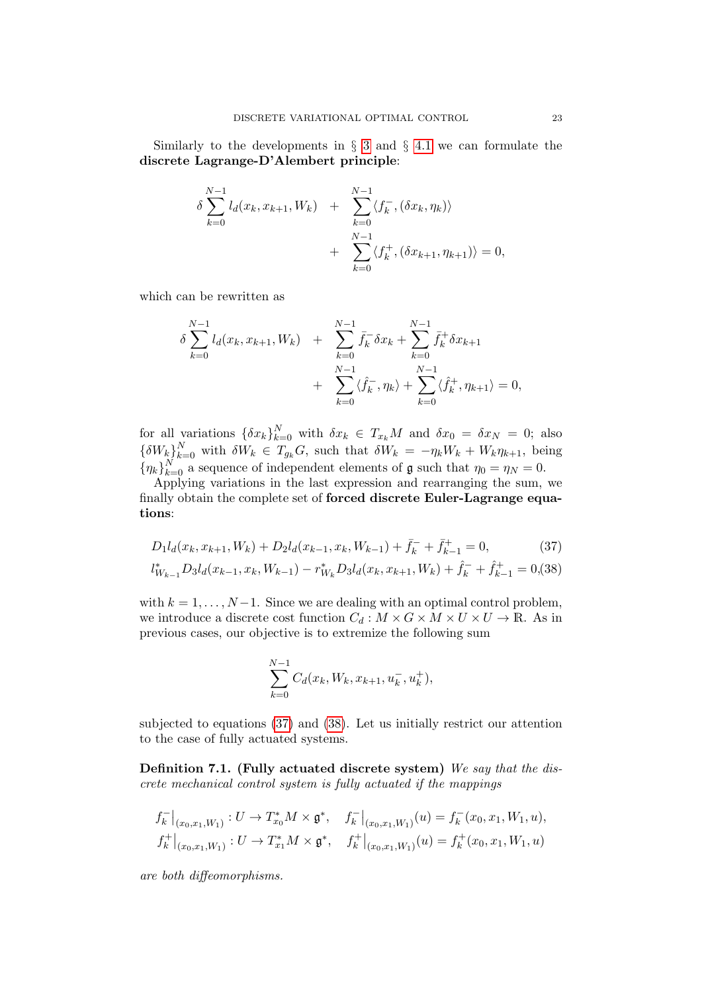Similarly to the developments in  $\S$  [3](#page-3-0) and  $\S$  [4.1](#page-10-2) we can formulate the discrete Lagrange-D'Alembert principle:

$$
\delta \sum_{k=0}^{N-1} l_d(x_k, x_{k+1}, W_k) + \sum_{k=0}^{N-1} \langle f_k^-, (\delta x_k, \eta_k) \rangle + \sum_{k=0}^{N-1} \langle f_k^+, (\delta x_{k+1}, \eta_{k+1}) \rangle = 0,
$$

which can be rewritten as

$$
\delta \sum_{k=0}^{N-1} l_d(x_k, x_{k+1}, W_k) + \sum_{k=0}^{N-1} \bar{f}_k^{-} \delta x_k + \sum_{k=0}^{N-1} \bar{f}_k^{+} \delta x_{k+1} + \sum_{k=0}^{N-1} \langle \hat{f}_k^{-}, \eta_k \rangle + \sum_{k=0}^{N-1} \langle \hat{f}_k^{+}, \eta_{k+1} \rangle = 0,
$$

for all variations  $\{\delta x_k\}_{k=0}^N$  with  $\delta x_k \in T_{x_k}M$  and  $\delta x_0 = \delta x_N = 0$ ; also  $\{ \delta W_k \}_{k=0}^N$  with  $\delta W_k \in T_{g_k} G$ , such that  $\delta W_k = -\eta_k W_k + W_k \eta_{k+1}$ , being  ${\{\eta_k\}}_{k=0}^N$  a sequence of independent elements of  $\mathfrak g$  such that  $\eta_0 = \eta_N = 0$ .

Applying variations in the last expression and rearranging the sum, we finally obtain the complete set of forced discrete Euler-Lagrange equations:

$$
D_1 l_d(x_k, x_{k+1}, W_k) + D_2 l_d(x_{k-1}, x_k, W_{k-1}) + \bar{f}_k^- + \bar{f}_{k-1}^+ = 0,
$$
\n(37)

<span id="page-22-0"></span>
$$
l_{W_{k-1}}^* D_3 l_d(x_{k-1}, x_k, W_{k-1}) - r_{W_k}^* D_3 l_d(x_k, x_{k+1}, W_k) + \hat{f}_k^- + \hat{f}_{k-1}^+ = 0, (38)
$$

with  $k = 1, \ldots, N-1$ . Since we are dealing with an optimal control problem, we introduce a discrete cost function  $C_d : M \times G \times M \times U \times U \rightarrow \mathbb{R}$ . As in previous cases, our objective is to extremize the following sum

$$
\sum_{k=0}^{N-1} C_d(x_k, W_k, x_{k+1}, u_k^-, u_k^+),
$$

subjected to equations [\(37\)](#page-22-0) and [\(38\)](#page-22-0). Let us initially restrict our attention to the case of fully actuated systems.

<span id="page-22-1"></span>Definition 7.1. (Fully actuated discrete system) We say that the discrete mechanical control system is fully actuated if the mappings

$$
f_k^-|_{(x_0,x_1,W_1)}: U \to T_{x_0}^* M \times \mathfrak{g}^*, \quad f_k^-|_{(x_0,x_1,W_1)}(u) = f_k^-(x_0,x_1,W_1,u),
$$
  

$$
f_k^+|_{(x_0,x_1,W_1)}: U \to T_{x_1}^* M \times \mathfrak{g}^*, \quad f_k^+|_{(x_0,x_1,W_1)}(u) = f_k^+(x_0,x_1,W_1,u)
$$

are both diffeomorphisms.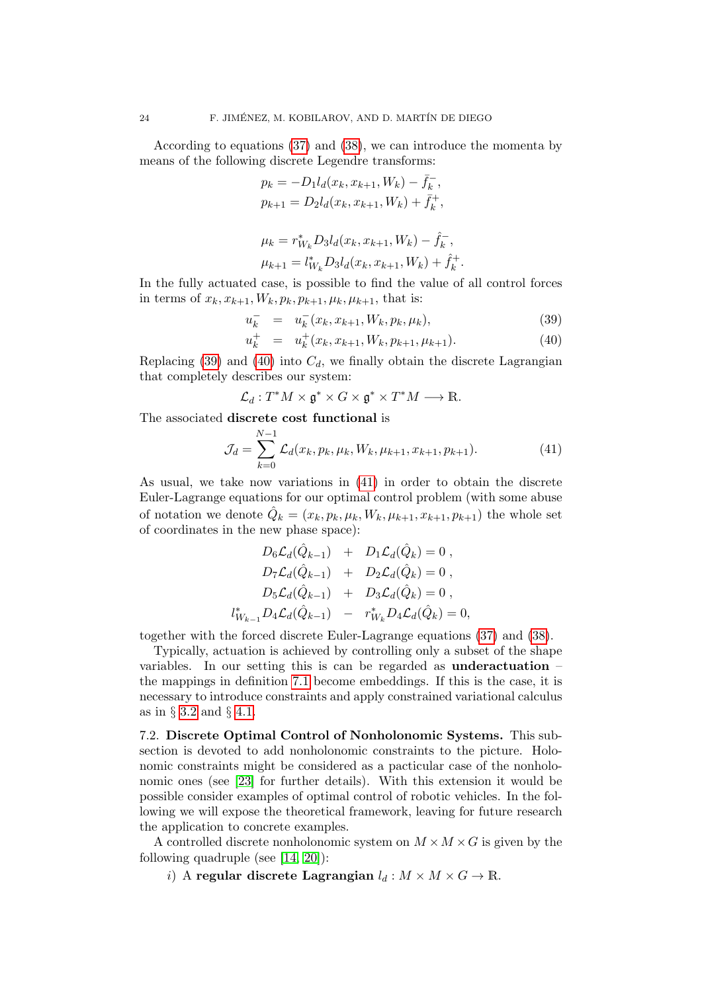According to equations [\(37\)](#page-22-0) and [\(38\)](#page-22-0), we can introduce the momenta by means of the following discrete Legendre transforms:

$$
p_k = -D_1 l_d(x_k, x_{k+1}, W_k) - \bar{f}_k^-,
$$
  

$$
p_{k+1} = D_2 l_d(x_k, x_{k+1}, W_k) + \bar{f}_k^+,
$$

$$
\mu_k = r_{W_k}^* D_3 l_d(x_k, x_{k+1}, W_k) - \hat{f}_k^-,
$$
  

$$
\mu_{k+1} = l_{W_k}^* D_3 l_d(x_k, x_{k+1}, W_k) + \hat{f}_k^+
$$

In the fully actuated case, is possible to find the value of all control forces in terms of  $x_k, x_{k+1}, W_k, p_k, p_{k+1}, \mu_k, \mu_{k+1}$ , that is:

$$
u_k^- = u_k^-(x_k, x_{k+1}, W_k, p_k, \mu_k), \tag{39}
$$

.

<span id="page-23-1"></span>
$$
u_k^+ = u_k^+(x_k, x_{k+1}, W_k, p_{k+1}, \mu_{k+1}). \tag{40}
$$

Replacing [\(39\)](#page-23-1) and [\(40\)](#page-23-1) into  $C_d$ , we finally obtain the discrete Lagrangian that completely describes our system:

$$
\mathcal{L}_d:T^*M\times \mathfrak{g}^*\times G\times \mathfrak{g}^*\times T^*M\longrightarrow \mathbb{R}.
$$

The associated discrete cost functional is

<span id="page-23-2"></span>
$$
\mathcal{J}_d = \sum_{k=0}^{N-1} \mathcal{L}_d(x_k, p_k, \mu_k, W_k, \mu_{k+1}, x_{k+1}, p_{k+1}). \tag{41}
$$

As usual, we take now variations in [\(41\)](#page-23-2) in order to obtain the discrete Euler-Lagrange equations for our optimal control problem (with some abuse of notation we denote  $\hat{Q}_k = (x_k, p_k, \mu_k, W_k, \mu_{k+1}, x_{k+1}, p_{k+1})$  the whole set of coordinates in the new phase space):

$$
D_6\mathcal{L}_d(\hat{Q}_{k-1}) + D_1\mathcal{L}_d(\hat{Q}_k) = 0 ,
$$
  
\n
$$
D_7\mathcal{L}_d(\hat{Q}_{k-1}) + D_2\mathcal{L}_d(\hat{Q}_k) = 0 ,
$$
  
\n
$$
D_5\mathcal{L}_d(\hat{Q}_{k-1}) + D_3\mathcal{L}_d(\hat{Q}_k) = 0 ,
$$
  
\n
$$
l^*_{W_{k-1}}D_4\mathcal{L}_d(\hat{Q}_{k-1}) - r^*_{W_k}D_4\mathcal{L}_d(\hat{Q}_k) = 0 ,
$$

together with the forced discrete Euler-Lagrange equations [\(37\)](#page-22-0) and [\(38\)](#page-22-0).

Typically, actuation is achieved by controlling only a subset of the shape variables. In our setting this is can be regarded as underactuation – the mappings in definition [7.1](#page-22-1) become embeddings. If this is the case, it is necessary to introduce constraints and apply constrained variational calculus as in § [3.2](#page-7-1) and § [4.1.](#page-10-2)

<span id="page-23-0"></span>7.2. Discrete Optimal Control of Nonholonomic Systems. This subsection is devoted to add nonholonomic constraints to the picture. Holonomic constraints might be considered as a pacticular case of the nonholonomic ones (see [\[23\]](#page-28-12) for further details). With this extension it would be possible consider examples of optimal control of robotic vehicles. In the following we will expose the theoretical framework, leaving for future research the application to concrete examples.

A controlled discrete nonholonomic system on  $M \times M \times G$  is given by the following quadruple (see [\[14,](#page-27-12) [20\]](#page-28-13)):

i) A regular discrete Lagrangian  $l_d : M \times M \times G \to \mathbb{R}$ .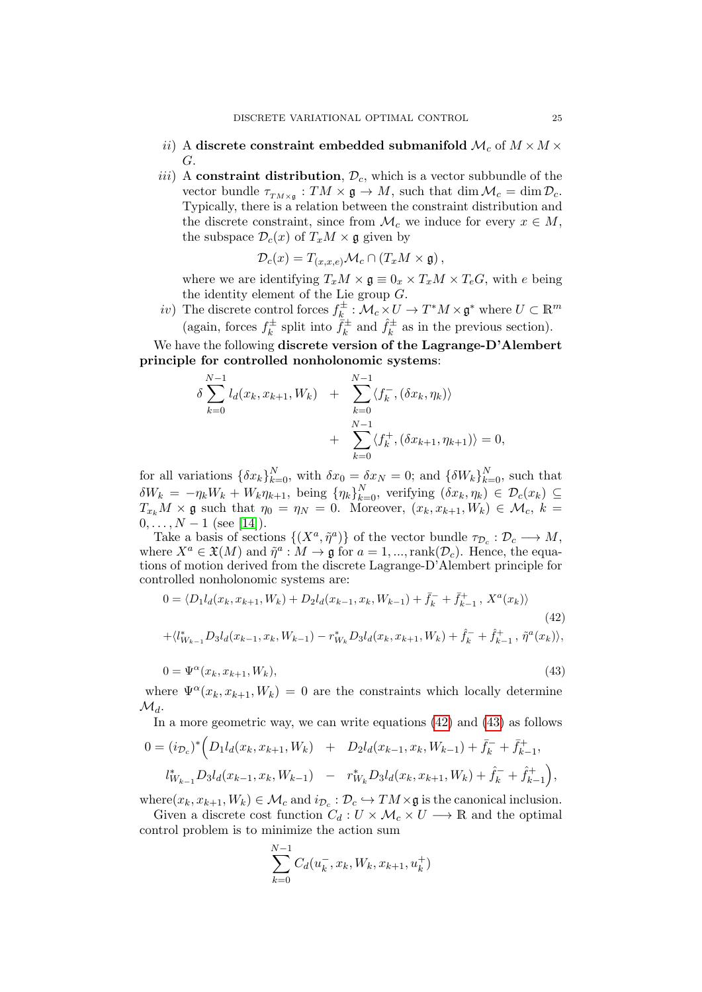- ii) A discrete constraint embedded submanifold  $\mathcal{M}_c$  of  $M \times M \times$ G.
- iii) A constraint distribution,  $\mathcal{D}_c$ , which is a vector subbundle of the vector bundle  $\tau_{TM\times\mathfrak{g}}: TM \times \mathfrak{g} \to M$ , such that  $\dim \mathcal{M}_c = \dim \mathcal{D}_c$ . Typically, there is a relation between the constraint distribution and the discrete constraint, since from  $\mathcal{M}_c$  we induce for every  $x \in M$ , the subspace  $\mathcal{D}_c(x)$  of  $T_xM \times \mathfrak{g}$  given by

$$
\mathcal{D}_c(x) = T_{(x,x,e)} \mathcal{M}_c \cap (T_x M \times \mathfrak{g}),
$$

where we are identifying  $T_xM \times \mathfrak{g} \equiv 0_x \times T_xM \times T_eG$ , with e being the identity element of the Lie group G.

iv) The discrete control forces  $f_k^{\pm}$  $\mathfrak{m}^\pm_k : \mathcal{M}_c \times U \to T^*M \times \mathfrak{g}^*$  where  $U \subset \mathbb{R}^m$ (again, forces  $f_k^{\pm}$  $x_k^{\pm}$  split into  $\bar{f}_k^{\pm}$  $\hat{f}_k^{\pm}$  and  $\hat{f}_k^{\pm}$  $k^{\pm}$  as in the previous section).

We have the following discrete version of the Lagrange-D'Alembert principle for controlled nonholonomic systems:

$$
\delta \sum_{k=0}^{N-1} l_d(x_k, x_{k+1}, W_k) + \sum_{k=0}^{N-1} \langle f_k^-, (\delta x_k, \eta_k) \rangle + \sum_{k=0}^{N-1} \langle f_k^+, (\delta x_{k+1}, \eta_{k+1}) \rangle = 0,
$$

for all variations  $\{\delta x_k\}_{k=0}^N$ , with  $\delta x_0 = \delta x_N = 0$ ; and  $\{\delta W_k\}_{k=0}^N$ , such that  $\delta W_k = -\eta_k W_k + W_k \eta_{k+1}$ , being  $\{\eta_k\}_{k=0}^N$ , verifying  $(\delta x_k, \eta_k) \in \mathcal{D}_c(x_k) \subseteq$  $T_{x_k}M \times \mathfrak{g}$  such that  $\eta_0 = \eta_N = 0$ . Moreover,  $(x_k, x_{k+1}, W_k) \in \mathcal{M}_c$ ,  $k =$  $0, \ldots, N-1$  (see [\[14\]](#page-27-12)).

Take a basis of sections  $\{(X^a, \tilde{\eta}^a)\}\$  of the vector bundle  $\tau_{\mathcal{D}_c} : \mathcal{D}_c \longrightarrow M$ , where  $X^a \in \mathfrak{X}(M)$  and  $\tilde{\eta}^a : M \to \mathfrak{g}$  for  $a = 1, ..., \text{rank}(\mathcal{D}_c)$ . Hence, the equations of motion derived from the discrete Lagrange-D'Alembert principle for controlled nonholonomic systems are:

<span id="page-24-0"></span>
$$
0 = \langle D_1 l_d(x_k, x_{k+1}, W_k) + D_2 l_d(x_{k-1}, x_k, W_{k-1}) + \bar{f}_k^- + \bar{f}_{k-1}^+, X^a(x_k) \rangle
$$
  
+ \langle l\_{W\_{k-1}}^\* D\_3 l\_d(x\_{k-1}, x\_k, W\_{k-1}) - r\_{W\_k}^\* D\_3 l\_d(x\_k, x\_{k+1}, W\_k) + \hat{f}\_k^- + \hat{f}\_{k-1}^+, \tilde{\eta}^a(x\_k) \rangle, (42)

$$
0 = \Psi^{\alpha}(x_k, x_{k+1}, W_k), \tag{43}
$$

where  $\Psi^{\alpha}(x_k, x_{k+1}, W_k) = 0$  are the constraints which locally determine  $\mathcal{M}_d$ .

In a more geometric way, we can write equations [\(42\)](#page-24-0) and [\(43\)](#page-24-0) as follows

$$
0 = (i_{\mathcal{D}_c})^* \Big( D_1 l_d(x_k, x_{k+1}, W_k) + D_2 l_d(x_{k-1}, x_k, W_{k-1}) + \bar{f}_k^- + \bar{f}_{k-1}^+,
$$
  

$$
l_{W_{k-1}}^* D_3 l_d(x_{k-1}, x_k, W_{k-1}) - r_{W_k}^* D_3 l_d(x_k, x_{k+1}, W_k) + \hat{f}_k^- + \hat{f}_{k-1}^+ \Big),
$$

where  $(x_k, x_{k+1}, W_k) \in \mathcal{M}_c$  and  $i_{\mathcal{D}_c} : \mathcal{D}_c \hookrightarrow TM \times \mathfrak{g}$  is the canonical inclusion.

Given a discrete cost function  $C_d: U \times \mathcal{M}_c \times U \longrightarrow \mathbb{R}$  and the optimal control problem is to minimize the action sum

$$
\sum_{k=0}^{N-1} C_d(u_k^-, x_k, W_k, x_{k+1}, u_k^+)
$$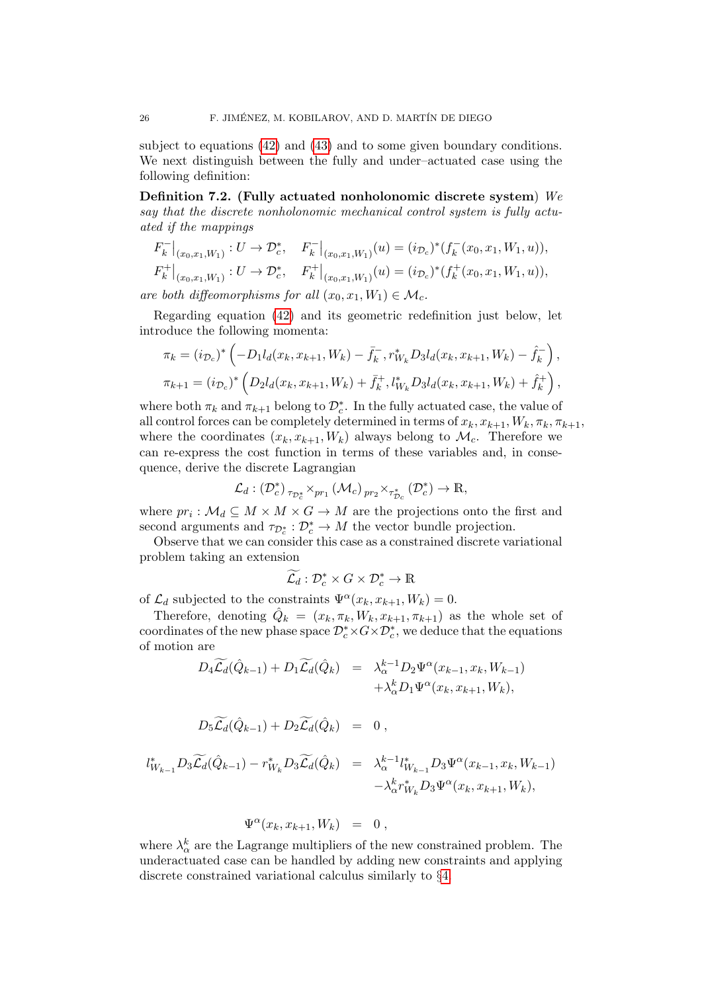subject to equations [\(42\)](#page-24-0) and [\(43\)](#page-24-0) and to some given boundary conditions. We next distinguish between the fully and under–actuated case using the following definition:

Definition 7.2. (Fully actuated nonholonomic discrete system) We say that the discrete nonholonomic mechanical control system is fully actuated if the mappings

$$
F_k^-|_{(x_0,x_1,W_1)}: U \to \mathcal{D}_c^*, \quad F_k^-|_{(x_0,x_1,W_1)}(u) = (i_{\mathcal{D}_c})^*(f_k^-(x_0,x_1,W_1,u)),
$$
  
\n
$$
F_k^+|_{(x_0,x_1,W_1)}: U \to \mathcal{D}_c^*, \quad F_k^+|_{(x_0,x_1,W_1)}(u) = (i_{\mathcal{D}_c})^*(f_k^+(x_0,x_1,W_1,u)),
$$

$$
F_k^+|_{(x_0,x_1,W_1)}: U \to \mathcal{D}_c^*, \quad F_k^+|_{(x_0,x_1,W_1)}(u) = (i_{\mathcal{D}_c})^*(f_k^+(x_0,x_1,W_1,u)),
$$

are both diffeomorphisms for all  $(x_0, x_1, W_1) \in \mathcal{M}_c$ .

Regarding equation [\(42\)](#page-24-0) and its geometric redefinition just below, let introduce the following momenta:

$$
\pi_k = (i_{\mathcal{D}_c})^* \left( -D_1 l_d(x_k, x_{k+1}, W_k) - \bar{f}_k^-, r_{W_k}^* D_3 l_d(x_k, x_{k+1}, W_k) - \hat{f}_k^-\right),
$$
  

$$
\pi_{k+1} = (i_{\mathcal{D}_c})^* \left( D_2 l_d(x_k, x_{k+1}, W_k) + \bar{f}_k^+, l_{W_k}^* D_3 l_d(x_k, x_{k+1}, W_k) + \hat{f}_k^+\right),
$$

where both  $\pi_k$  and  $\pi_{k+1}$  belong to  $\mathcal{D}_c^*$ . In the fully actuated case, the value of all control forces can be completely determined in terms of  $x_k, x_{k+1}, W_k, \pi_k, \pi_{k+1}$ , where the coordinates  $(x_k, x_{k+1}, W_k)$  always belong to  $\mathcal{M}_c$ . Therefore we can re-express the cost function in terms of these variables and, in consequence, derive the discrete Lagrangian

$$
\mathcal{L}_{d}:\left(\mathcal{D}_{c}^{*}\right)_{\tau_{\mathcal{D}_{c}^{*}}}\times_{pr_{1}}\left(\mathcal{M}_{c}\right)_{pr_{2}}\times_{\tau_{\mathcal{D}_{c}}^{*}}\left(\mathcal{D}_{c}^{*}\right)\rightarrow\mathbb{R},
$$

where  $pr_i: \mathcal{M}_d \subseteq M \times M \times G \to M$  are the projections onto the first and second arguments and  $\tau_{\mathcal{D}_c^*}: \mathcal{D}_c^* \to M$  the vector bundle projection.

Observe that we can consider this case as a constrained discrete variational problem taking an extension

$$
\widetilde{\mathcal{L}_d}: \mathcal{D}_c^* \times G \times \mathcal{D}_c^* \to \mathbb{R}
$$

of  $\mathcal{L}_d$  subjected to the constraints  $\Psi^{\alpha}(x_k, x_{k+1}, W_k) = 0$ .

Therefore, denoting  $\hat{Q}_k = (x_k, \pi_k, W_k, x_{k+1}, \pi_{k+1})$  as the whole set of coordinates of the new phase space  $\mathcal{D}_c^* \times G \times \mathcal{D}_c^*$ , we deduce that the equations of motion are

$$
D_4 \widetilde{\mathcal{L}_d}(\hat{Q}_{k-1}) + D_1 \widetilde{\mathcal{L}_d}(\hat{Q}_k) = \lambda_{\alpha}^{k-1} D_2 \Psi^{\alpha}(x_{k-1}, x_k, W_{k-1}) + \lambda_{\alpha}^k D_1 \Psi^{\alpha}(x_k, x_{k+1}, W_k),
$$

$$
D_5\widetilde{\mathcal{L}_d}(\hat{Q}_{k-1})+D_2\widetilde{\mathcal{L}_d}(\hat{Q}_k) = 0,
$$

$$
l_{W_{k-1}}^* D_3 \widetilde{\mathcal{L}_d}(\hat{Q}_{k-1}) - r_{W_k}^* D_3 \widetilde{\mathcal{L}_d}(\hat{Q}_k) = \lambda_{\alpha}^{k-1} l_{W_{k-1}}^* D_3 \Psi^{\alpha}(x_{k-1}, x_k, W_{k-1}) - \lambda_{\alpha}^k r_{W_k}^* D_3 \Psi^{\alpha}(x_k, x_{k+1}, W_k),
$$

$$
\Psi^{\alpha}(x_k, x_{k+1}, W_k) = 0 ,
$$

where  $\lambda_{\alpha}^{k}$  are the Lagrange multipliers of the new constrained problem. The underactuated case can be handled by adding new constraints and applying discrete constrained variational calculus similarly to §[4.](#page-8-0)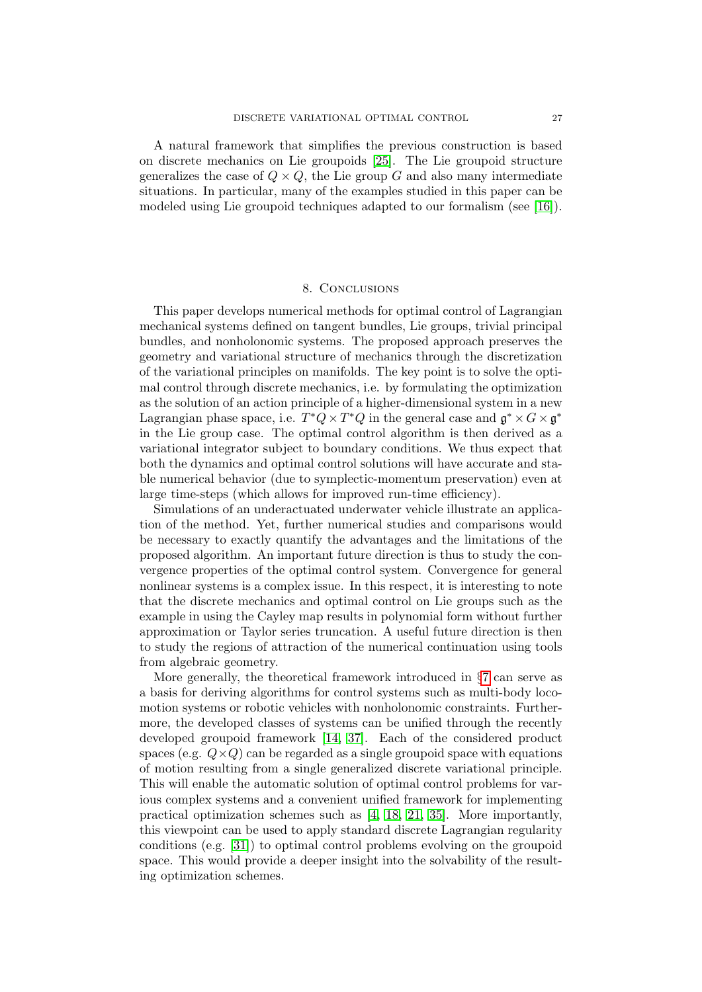A natural framework that simplifies the previous construction is based on discrete mechanics on Lie groupoids [\[25\]](#page-28-5). The Lie groupoid structure generalizes the case of  $Q \times Q$ , the Lie group G and also many intermediate situations. In particular, many of the examples studied in this paper can be modeled using Lie groupoid techniques adapted to our formalism (see [\[16\]](#page-28-14)).

## 8. CONCLUSIONS

<span id="page-26-0"></span>This paper develops numerical methods for optimal control of Lagrangian mechanical systems defined on tangent bundles, Lie groups, trivial principal bundles, and nonholonomic systems. The proposed approach preserves the geometry and variational structure of mechanics through the discretization of the variational principles on manifolds. The key point is to solve the optimal control through discrete mechanics, i.e. by formulating the optimization as the solution of an action principle of a higher-dimensional system in a new Lagrangian phase space, i.e.  $T^*Q \times T^*Q$  in the general case and  $\mathfrak{g}^* \times G \times \mathfrak{g}^*$ in the Lie group case. The optimal control algorithm is then derived as a variational integrator subject to boundary conditions. We thus expect that both the dynamics and optimal control solutions will have accurate and stable numerical behavior (due to symplectic-momentum preservation) even at large time-steps (which allows for improved run-time efficiency).

Simulations of an underactuated underwater vehicle illustrate an application of the method. Yet, further numerical studies and comparisons would be necessary to exactly quantify the advantages and the limitations of the proposed algorithm. An important future direction is thus to study the convergence properties of the optimal control system. Convergence for general nonlinear systems is a complex issue. In this respect, it is interesting to note that the discrete mechanics and optimal control on Lie groups such as the example in using the Cayley map results in polynomial form without further approximation or Taylor series truncation. A useful future direction is then to study the regions of attraction of the numerical continuation using tools from algebraic geometry.

More generally, the theoretical framework introduced in §[7](#page-21-0) can serve as a basis for deriving algorithms for control systems such as multi-body locomotion systems or robotic vehicles with nonholonomic constraints. Furthermore, the developed classes of systems can be unified through the recently developed groupoid framework [\[14,](#page-27-12) [37\]](#page-28-15). Each of the considered product spaces (e.g.  $Q \times Q$ ) can be regarded as a single groupoid space with equations of motion resulting from a single generalized discrete variational principle. This will enable the automatic solution of optimal control problems for various complex systems and a convenient unified framework for implementing practical optimization schemes such as [\[4,](#page-27-0) [18,](#page-28-2) [21,](#page-28-3) [35\]](#page-28-1). More importantly, this viewpoint can be used to apply standard discrete Lagrangian regularity conditions (e.g. [\[31\]](#page-28-0)) to optimal control problems evolving on the groupoid space. This would provide a deeper insight into the solvability of the resulting optimization schemes.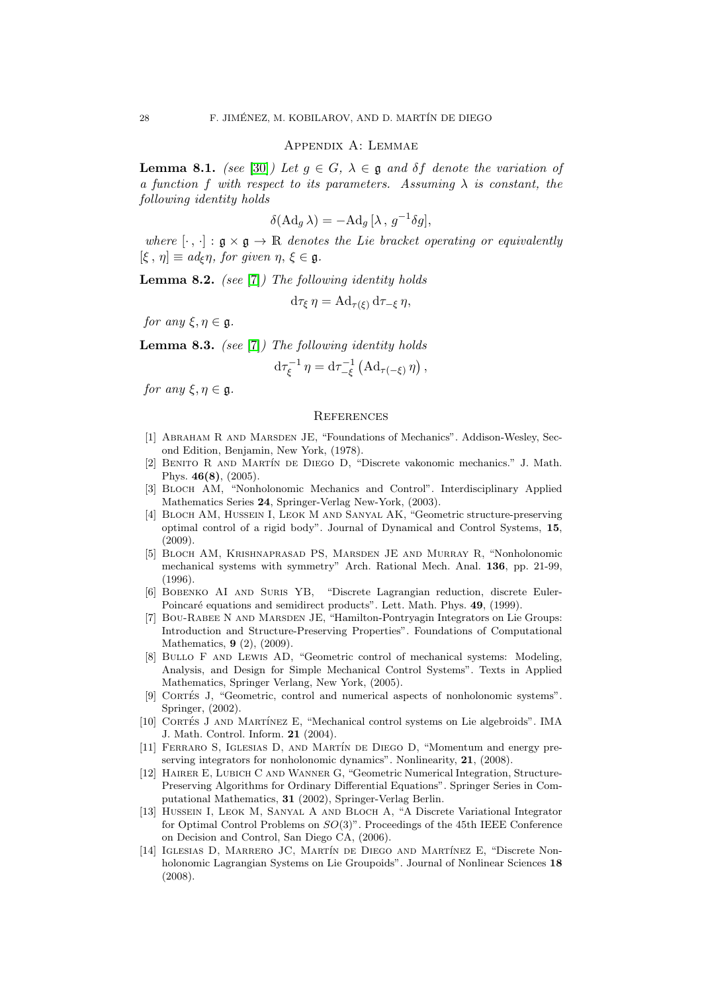#### Appendix A: Lemmae

**Lemma 8.1.** (see [\[30\]](#page-28-6)) Let  $g \in G$ ,  $\lambda \in \mathfrak{g}$  and  $\delta f$  denote the variation of a function f with respect to its parameters. Assuming  $\lambda$  is constant, the following identity holds

$$
\delta(\mathrm{Ad}_g \lambda) = -\mathrm{Ad}_g [\lambda, g^{-1} \delta g],
$$

where  $[\cdot, \cdot] : \mathfrak{g} \times \mathfrak{g} \to \mathbb{R}$  denotes the Lie bracket operating or equivalently  $[\xi, \eta] \equiv ad_{\xi} \eta$ , for given  $\eta, \xi \in \mathfrak{g}$ .

<span id="page-27-8"></span>**Lemma 8.2.** (see [\[7\]](#page-27-7)) The following identity holds

$$
d\tau_{\xi} \eta = Ad_{\tau(\xi)} d\tau_{-\xi} \eta,
$$

for any  $\xi, \eta \in \mathfrak{g}$ .

<span id="page-27-9"></span>**Lemma 8.3.** (see [\[7\]](#page-27-7)) The following identity holds

$$
d\tau_{\xi}^{-1} \eta = d\tau_{-\xi}^{-1} \left( \mathrm{Ad}_{\tau(-\xi)} \eta \right),
$$

for any  $\xi, \eta \in \mathfrak{g}$ .

### **REFERENCES**

- <span id="page-27-4"></span>[1] Abraham R and Marsden JE, "Foundations of Mechanics". Addison-Wesley, Second Edition, Benjamin, New York, (1978).
- <span id="page-27-6"></span>[2] BENITO R AND MARTÍN DE DIEGO D, "Discrete vakonomic mechanics." J. Math. Phys. 46(8), (2005).
- [3] Bloch AM, "Nonholonomic Mechanics and Control". Interdisciplinary Applied Mathematics Series 24, Springer-Verlag New-York, (2003).
- <span id="page-27-0"></span>[4] Bloch AM, Hussein I, Leok M and Sanyal AK, "Geometric structure-preserving optimal control of a rigid body". Journal of Dynamical and Control Systems, 15, (2009).
- <span id="page-27-10"></span>[5] Bloch AM, Krishnaprasad PS, Marsden JE and Murray R, "Nonholonomic mechanical systems with symmetry" Arch. Rational Mech. Anal. 136, pp. 21-99, (1996).
- <span id="page-27-1"></span>[6] Bobenko AI and Suris YB, "Discrete Lagrangian reduction, discrete Euler-Poincaré equations and semidirect products". Lett. Math. Phys. 49, (1999).
- <span id="page-27-7"></span>[7] Bou-Rabee N and Marsden JE, "Hamilton-Pontryagin Integrators on Lie Groups: Introduction and Structure-Preserving Properties". Foundations of Computational Mathematics, 9 (2), (2009).
- <span id="page-27-11"></span>[8] Bullo F and Lewis AD, "Geometric control of mechanical systems: Modeling, Analysis, and Design for Simple Mechanical Control Systems". Texts in Applied Mathematics, Springer Verlang, New York, (2005).
- <span id="page-27-2"></span>[9] CORTÉS J, "Geometric, control and numerical aspects of nonholonomic systems". Springer, (2002).
- [10] CORTÉS J AND MARTÍNEZ E, "Mechanical control systems on Lie algebroids". IMA J. Math. Control. Inform. 21 (2004).
- <span id="page-27-3"></span>[11] FERRARO S, IGLESIAS D, AND MARTÍN DE DIEGO D, "Momentum and energy preserving integrators for nonholonomic dynamics". Nonlinearity, **21**, (2008).
- <span id="page-27-5"></span>[12] Hairer E, Lubich C and Wanner G, "Geometric Numerical Integration, Structure-Preserving Algorithms for Ordinary Differential Equations". Springer Series in Computational Mathematics, 31 (2002), Springer-Verlag Berlin.
- [13] HUSSEIN I, LEOK M, SANYAL A AND BLOCH A, "A Discrete Variational Integrator for Optimal Control Problems on SO(3)". Proceedings of the 45th IEEE Conference on Decision and Control, San Diego CA, (2006).
- <span id="page-27-12"></span>[14] IGLESIAS D, MARRERO JC, MARTÍN DE DIEGO AND MARTÍNEZ E, "Discrete Nonholonomic Lagrangian Systems on Lie Groupoids". Journal of Nonlinear Sciences 18 (2008).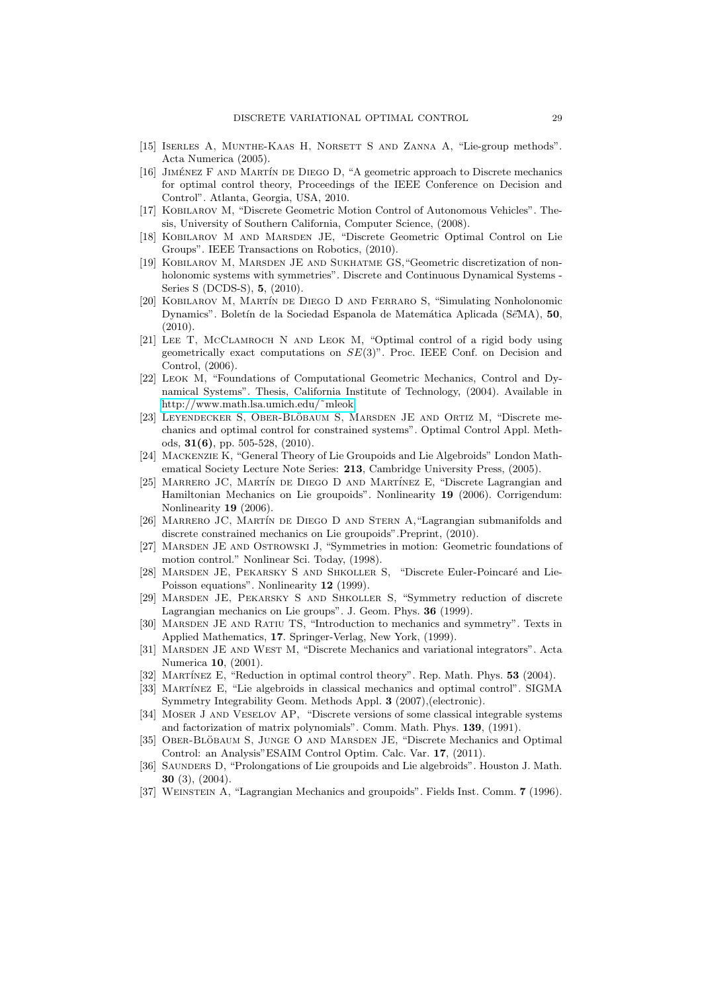- <span id="page-28-10"></span>[15] Iserles A, Munthe-Kaas H, Norsett S and Zanna A, "Lie-group methods". Acta Numerica (2005).
- <span id="page-28-14"></span>[16] JIMÉNEZ F AND MARTÍN DE DIEGO D, "A geometric approach to Discrete mechanics for optimal control theory, Proceedings of the IEEE Conference on Decision and Control". Atlanta, Georgia, USA, 2010.
- [17] Kobilarov M, "Discrete Geometric Motion Control of Autonomous Vehicles". Thesis, University of Southern California, Computer Science, (2008).
- <span id="page-28-2"></span>[18] Kobilarov M and Marsden JE, "Discrete Geometric Optimal Control on Lie Groups". IEEE Transactions on Robotics, (2010).
- <span id="page-28-4"></span>[19] KOBILAROV M, MARSDEN JE AND SUKHATME GS, "Geometric discretization of nonholonomic systems with symmetries". Discrete and Continuous Dynamical Systems - Series S (DCDS-S), 5, (2010).
- <span id="page-28-13"></span>[20] Kobilarov M, Mart´ın de Diego D and Ferraro S, "Simulating Nonholonomic Dynamics". Boletín de la Sociedad Espanola de Matemática Aplicada (SeMA), 50,  $(2010)$ .
- <span id="page-28-3"></span>[21] LEE T, MCCLAMROCH N AND LEOK M, "Optimal control of a rigid body using geometrically exact computations on  $SE(3)$ ". Proc. IEEE Conf. on Decision and Control, (2006).
- [22] Leok M, "Foundations of Computational Geometric Mechanics, Control and Dynamical Systems". Thesis, California Institute of Technology, (2004). Available in [http://www.math.lsa.umich.edu/˜mleok.](http://www.math.lsa.umich.edu/~mleok)
- <span id="page-28-12"></span>[23] LEYENDECKER S, OBER-BLÖBAUM S, MARSDEN JE AND ORTIZ M, "Discrete mechanics and optimal control for constrained systems". Optimal Control Appl. Methods, 31(6), pp. 505-528, (2010).
- [24] Mackenzie K, "General Theory of Lie Groupoids and Lie Algebroids" London Mathematical Society Lecture Note Series: 213, Cambridge University Press, (2005).
- <span id="page-28-5"></span>[25] MARRERO JC, MARTÍN DE DIEGO D AND MARTÍNEZ E, "Discrete Lagrangian and Hamiltonian Mechanics on Lie groupoids". Nonlinearity 19 (2006). Corrigendum: Nonlinearity 19 (2006).
- [26] MARRERO JC, MARTÍN DE DIEGO D AND STERN A, "Lagrangian submanifolds and discrete constrained mechanics on Lie groupoids".Preprint, (2010).
- <span id="page-28-11"></span>[27] MARSDEN JE AND OSTROWSKI J, "Symmetries in motion: Geometric foundations of motion control." Nonlinear Sci. Today, (1998).
- <span id="page-28-8"></span>[28] MARSDEN JE, PEKARSKY S AND SHKOLLER S, "Discrete Euler-Poincaré and Lie-Poisson equations". Nonlinearity 12 (1999).
- <span id="page-28-9"></span>[29] Marsden JE, Pekarsky S and Shkoller S, "Symmetry reduction of discrete Lagrangian mechanics on Lie groups". J. Geom. Phys. 36 (1999).
- <span id="page-28-6"></span>[30] MARSDEN JE AND RATIU TS, "Introduction to mechanics and symmetry". Texts in Applied Mathematics, 17. Springer-Verlag, New York, (1999).
- <span id="page-28-0"></span>[31] MARSDEN JE AND WEST M, "Discrete Mechanics and variational integrators". Acta Numerica 10, (2001).
- [32] MARTÍNEZ E, "Reduction in optimal control theory". Rep. Math. Phys. 53 (2004).
- [33] MARTÍNEZ E, "Lie algebroids in classical mechanics and optimal control". SIGMA Symmetry Integrability Geom. Methods Appl. 3 (2007),(electronic).
- <span id="page-28-7"></span>[34] Moser J and Veselov AP, "Discrete versions of some classical integrable systems and factorization of matrix polynomials". Comm. Math. Phys. 139, (1991).
- <span id="page-28-1"></span>[35] OBER-BLÖBAUM S, JUNGE O AND MARSDEN JE, "Discrete Mechanics and Optimal Control: an Analysis"ESAIM Control Optim. Calc. Var. 17, (2011).
- [36] SAUNDERS D, "Prolongations of Lie groupoids and Lie algebroids". Houston J. Math. 30 (3), (2004).
- <span id="page-28-15"></span>[37] WEINSTEIN A, "Lagrangian Mechanics and groupoids". Fields Inst. Comm. 7 (1996).